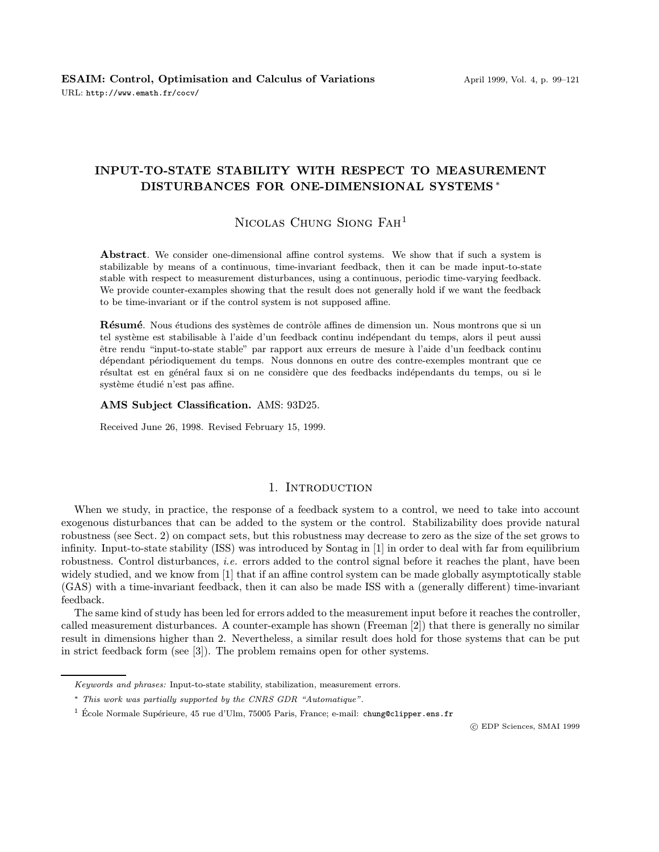# INPUT-TO-STATE STABILITY WITH RESPECT TO MEASUREMENT DISTURBANCES FOR ONE-DIMENSIONAL SYSTEMS <sup>∗</sup>

# NICOLAS CHUNG SIONG FAH<sup>1</sup>

Abstract. We consider one-dimensional affine control systems. We show that if such a system is stabilizable by means of a continuous, time-invariant feedback, then it can be made input-to-state stable with respect to measurement disturbances, using a continuous, periodic time-varying feedback. We provide counter-examples showing that the result does not generally hold if we want the feedback to be time-invariant or if the control system is not supposed affine.

Résumé. Nous étudions des systèmes de contrôle affines de dimension un. Nous montrons que si un tel système est stabilisable à l'aide d'un feedback continu indépendant du temps, alors il peut aussi ˆetre rendu "input-to-state stable" par rapport aux erreurs de mesure `a l'aide d'un feedback continu dépendant périodiquement du temps. Nous donnons en outre des contre-exemples montrant que ce résultat est en général faux si on ne considère que des feedbacks indépendants du temps, ou si le système étudié n'est pas affine.

#### AMS Subject Classification. AMS: 93D25.

Received June 26, 1998. Revised February 15, 1999.

## 1. INTRODUCTION

When we study, in practice, the response of a feedback system to a control, we need to take into account exogenous disturbances that can be added to the system or the control. Stabilizability does provide natural robustness (see Sect. 2) on compact sets, but this robustness may decrease to zero as the size of the set grows to infinity. Input-to-state stability (ISS) was introduced by Sontag in [1] in order to deal with far from equilibrium robustness. Control disturbances, *i.e.* errors added to the control signal before it reaches the plant, have been widely studied, and we know from [1] that if an affine control system can be made globally asymptotically stable (GAS) with a time-invariant feedback, then it can also be made ISS with a (generally different) time-invariant feedback.

The same kind of study has been led for errors added to the measurement input before it reaches the controller, called measurement disturbances. A counter-example has shown (Freeman [2]) that there is generally no similar result in dimensions higher than 2. Nevertheless, a similar result does hold for those systems that can be put in strict feedback form (see [3]). The problem remains open for other systems.

c EDP Sciences, SMAI 1999

Keywords and phrases: Input-to-state stability, stabilization, measurement errors.

<sup>∗</sup> This work was partially supported by the CNRS GDR "Automatique".

<sup>&</sup>lt;sup>1</sup> École Normale Supérieure, 45 rue d'Ulm, 75005 Paris, France; e-mail: chung@clipper.ens.fr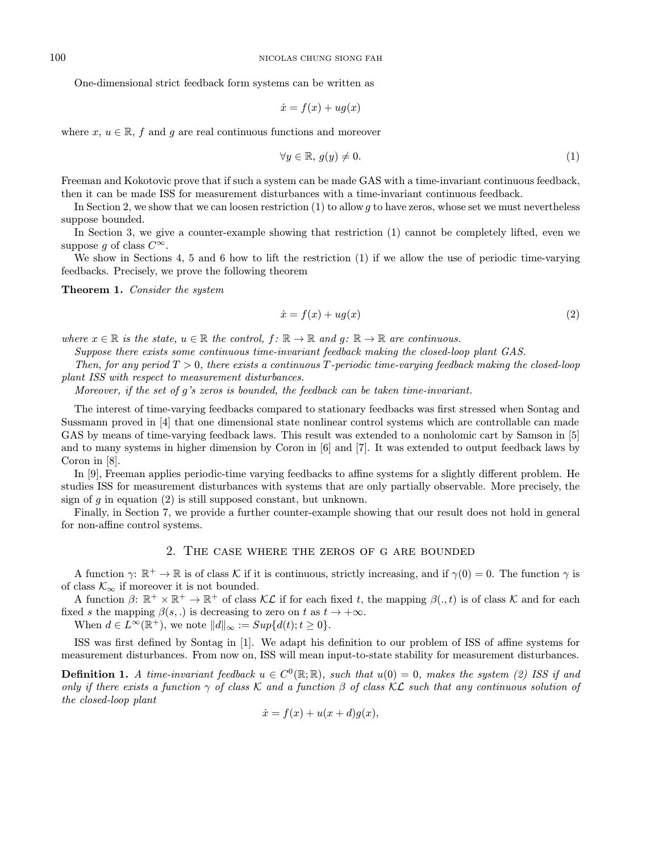One-dimensional strict feedback form systems can be written as

$$
\dot{x} = f(x) + ug(x)
$$

where  $x, u \in \mathbb{R}$ , f and g are real continuous functions and moreover

$$
\forall y \in \mathbb{R}, \, g(y) \neq 0. \tag{1}
$$

Freeman and Kokotovic prove that if such a system can be made GAS with a time-invariant continuous feedback, then it can be made ISS for measurement disturbances with a time-invariant continuous feedback.

In Section 2, we show that we can loosen restriction  $(1)$  to allow g to have zeros, whose set we must nevertheless suppose bounded.

In Section 3, we give a counter-example showing that restriction (1) cannot be completely lifted, even we suppose q of class  $C^{\infty}$ .

We show in Sections 4, 5 and 6 how to lift the restriction (1) if we allow the use of periodic time-varying feedbacks. Precisely, we prove the following theorem

Theorem 1. Consider the system

$$
\dot{x} = f(x) + ug(x) \tag{2}
$$

where  $x \in \mathbb{R}$  is the state,  $u \in \mathbb{R}$  the control,  $f: \mathbb{R} \to \mathbb{R}$  and  $g: \mathbb{R} \to \mathbb{R}$  are continuous.

Suppose there exists some continuous time-invariant feedback making the closed-loop plant GAS.

Then, for any period  $T > 0$ , there exists a continuous T-periodic time-varying feedback making the closed-loop plant ISS with respect to measurement disturbances.

Moreover, if the set of g's zeros is bounded, the feedback can be taken time-invariant.

The interest of time-varying feedbacks compared to stationary feedbacks was first stressed when Sontag and Sussmann proved in [4] that one dimensional state nonlinear control systems which are controllable can made GAS by means of time-varying feedback laws. This result was extended to a nonholomic cart by Samson in [5] and to many systems in higher dimension by Coron in [6] and [7]. It was extended to output feedback laws by Coron in [8].

In [9], Freeman applies periodic-time varying feedbacks to affine systems for a slightly different problem. He studies ISS for measurement disturbances with systems that are only partially observable. More precisely, the sign of q in equation  $(2)$  is still supposed constant, but unknown.

Finally, in Section 7, we provide a further counter-example showing that our result does not hold in general for non-affine control systems.

### 2. The case where the zeros of g are bounded

A function  $\gamma: \mathbb{R}^+ \to \mathbb{R}$  is of class K if it is continuous, strictly increasing, and if  $\gamma(0) = 0$ . The function  $\gamma$  is of class  $\mathcal{K}_{\infty}$  if moreover it is not bounded.

A function  $\beta: \mathbb{R}^+ \times \mathbb{R}^+ \to \mathbb{R}^+$  of class  $\mathcal{KL}$  if for each fixed t, the mapping  $\beta(.,t)$  is of class K and for each fixed s the mapping  $\beta(s,.)$  is decreasing to zero on t as  $t \to +\infty$ .

When  $d \in L^{\infty}(\mathbb{R}^+)$ , we note  $||d||_{\infty} := Sup\{d(t); t \geq 0\}$ .

ISS was first defined by Sontag in [1]. We adapt his definition to our problem of ISS of affine systems for measurement disturbances. From now on, ISS will mean input-to-state stability for measurement disturbances.

**Definition 1.** A time-invariant feedback  $u \in C^0(\mathbb{R}; \mathbb{R})$ , such that  $u(0) = 0$ , makes the system (2) ISS if and only if there exists a function  $\gamma$  of class K and a function  $\beta$  of class KL such that any continuous solution of the closed-loop plant

$$
\dot{x} = f(x) + u(x + d)g(x),
$$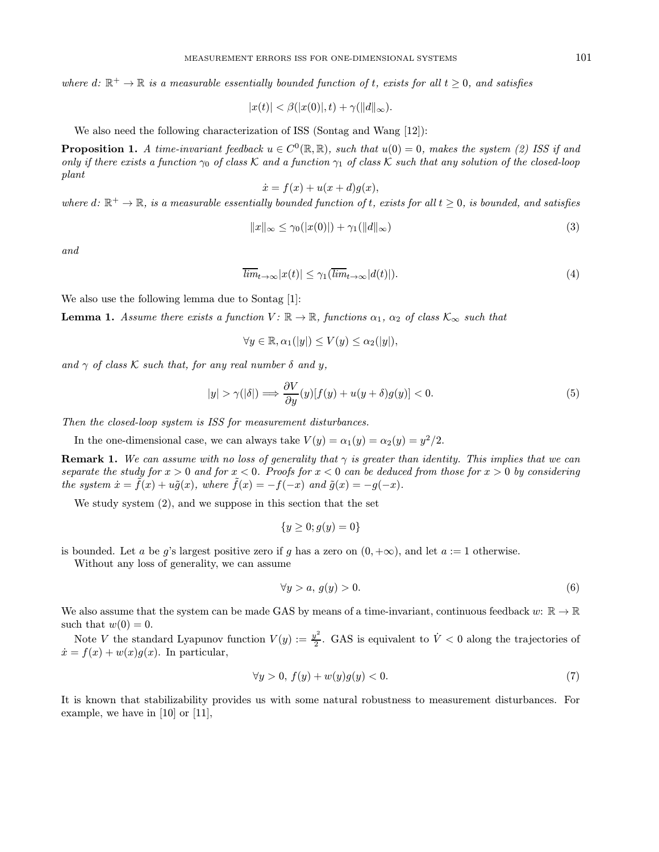where d:  $\mathbb{R}^+ \to \mathbb{R}$  is a measurable essentially bounded function of t, exists for all  $t \geq 0$ , and satisfies

$$
|x(t)| < \beta(|x(0)|, t) + \gamma(||d||_{\infty}).
$$

We also need the following characterization of ISS (Sontag and Wang [12]):

**Proposition 1.** A time-invariant feedback  $u \in C^0(\mathbb{R}, \mathbb{R})$ , such that  $u(0) = 0$ , makes the system (2) ISS if and only if there exists a function  $\gamma_0$  of class K and a function  $\gamma_1$  of class K such that any solution of the closed-loop plant

$$
\dot{x} = f(x) + u(x + d)g(x),
$$

where d:  $\mathbb{R}^+ \to \mathbb{R}$ , is a measurable essentially bounded function of t, exists for all  $t > 0$ , is bounded, and satisfies

$$
||x||_{\infty} \le \gamma_0(|x(0)|) + \gamma_1(||d||_{\infty})
$$
\n(3)

and

$$
\overline{\lim}_{t \to \infty} |x(t)| \le \gamma_1(\overline{\lim}_{t \to \infty} |d(t)|). \tag{4}
$$

We also use the following lemma due to Sontag [1]:

**Lemma 1.** Assume there exists a function  $V: \mathbb{R} \to \mathbb{R}$ , functions  $\alpha_1$ ,  $\alpha_2$  of class  $\mathcal{K}_{\infty}$  such that

$$
\forall y \in \mathbb{R}, \alpha_1(|y|) \le V(y) \le \alpha_2(|y|),
$$

and  $\gamma$  of class K such that, for any real number  $\delta$  and y,

$$
|y| > \gamma(|\delta|) \Longrightarrow \frac{\partial V}{\partial y}(y)[f(y) + u(y + \delta)g(y)] < 0. \tag{5}
$$

Then the closed-loop system is ISS for measurement disturbances.

In the one-dimensional case, we can always take  $V(y) = \alpha_1(y) = \alpha_2(y) = y^2/2$ .

**Remark 1.** We can assume with no loss of generality that  $\gamma$  is greater than identity. This implies that we can separate the study for  $x > 0$  and for  $x < 0$ . Proofs for  $x < 0$  can be deduced from those for  $x > 0$  by considering the system  $\dot{x} = \tilde{f}(x) + u\tilde{g}(x)$ , where  $\tilde{f}(x) = -f(-x)$  and  $\tilde{g}(x) = -g(-x)$ .

We study system (2), and we suppose in this section that the set

$$
\{y\geq 0; g(y)=0\}
$$

is bounded. Let a be g's largest positive zero if g has a zero on  $(0, +\infty)$ , and let  $a := 1$  otherwise.

Without any loss of generality, we can assume

$$
\forall y > a, \ g(y) > 0. \tag{6}
$$

We also assume that the system can be made GAS by means of a time-invariant, continuous feedback  $w: \mathbb{R} \to \mathbb{R}$ such that  $w(0) = 0$ .

Note V the standard Lyapunov function  $V(y) := \frac{y^2}{2}$ . GAS is equivalent to  $\dot{V} < 0$  along the trajectories of  $\dot{x} = f(x) + w(x)g(x)$ . In particular,

$$
\forall y > 0, f(y) + w(y)g(y) < 0. \tag{7}
$$

It is known that stabilizability provides us with some natural robustness to measurement disturbances. For example, we have in [10] or [11],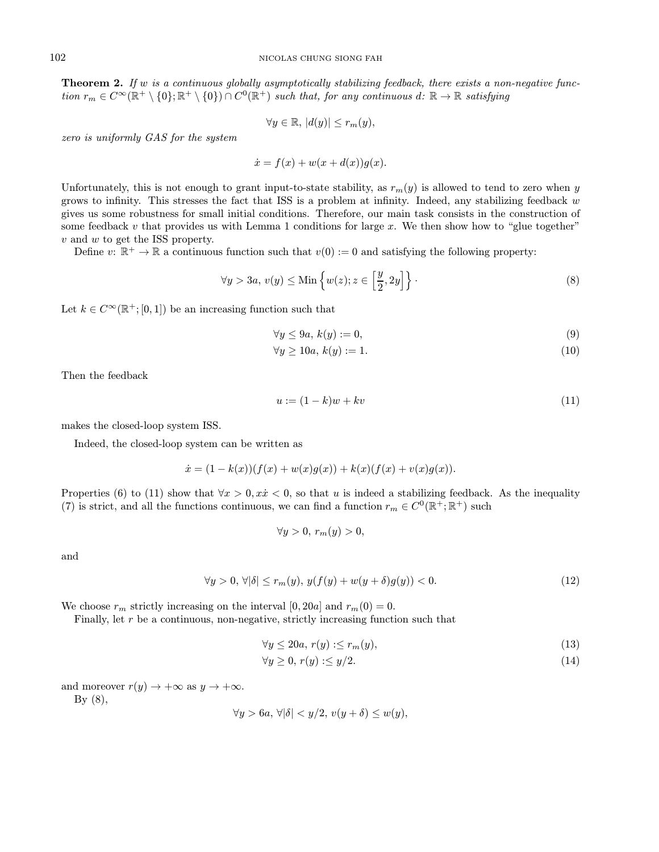**Theorem 2.** If w is a continuous globally asymptotically stabilizing feedback, there exists a non-negative function  $r_m \in C^{\infty}(\mathbb{R}^+ \setminus \{0\}; \mathbb{R}^+ \setminus \{0\}) \cap C^0(\mathbb{R}^+)$  such that, for any continuous d:  $\mathbb{R} \to \mathbb{R}$  satisfying

$$
\forall y \in \mathbb{R}, \, |d(y)| \le r_m(y),
$$

zero is uniformly GAS for the system

$$
\dot{x} = f(x) + w(x + d(x))g(x).
$$

Unfortunately, this is not enough to grant input-to-state stability, as  $r_m(y)$  is allowed to tend to zero when y grows to infinity. This stresses the fact that ISS is a problem at infinity. Indeed, any stabilizing feedback  $w$ gives us some robustness for small initial conditions. Therefore, our main task consists in the construction of some feedback v that provides us with Lemma 1 conditions for large x. We then show how to "glue together"  $v$  and  $w$  to get the ISS property.

Define  $v: \mathbb{R}^+ \to \mathbb{R}$  a continuous function such that  $v(0) := 0$  and satisfying the following property:

$$
\forall y > 3a, v(y) \leq \text{Min}\left\{w(z); z \in \left[\frac{y}{2}, 2y\right]\right\}.
$$
\n
$$
(8)
$$

Let  $k \in C^{\infty}(\mathbb{R}^+; [0, 1])$  be an increasing function such that

$$
\forall y \le 9a, \ k(y) := 0,\tag{9}
$$

$$
\forall y \ge 10a, \ k(y) := 1. \tag{10}
$$

Then the feedback

$$
u := (1 - k)w + kv \tag{11}
$$

makes the closed-loop system ISS.

Indeed, the closed-loop system can be written as

$$
\dot{x} = (1 - k(x))(f(x) + w(x)g(x)) + k(x)(f(x) + v(x)g(x)).
$$

Properties (6) to (11) show that  $\forall x > 0, x\dot{x} < 0$ , so that u is indeed a stabilizing feedback. As the inequality (7) is strict, and all the functions continuous, we can find a function  $r_m \in C^0(\mathbb{R}^+;\mathbb{R}^+)$  such

$$
\forall y > 0, \ r_m(y) > 0,
$$

and

$$
\forall y > 0, \forall |\delta| \le r_m(y), \ y(f(y) + w(y + \delta)g(y)) < 0. \tag{12}
$$

We choose  $r_m$  strictly increasing on the interval [0, 20a] and  $r_m(0) = 0$ .

Finally, let  $r$  be a continuous, non-negative, strictly increasing function such that

$$
\forall y \le 20a, r(y) : \le r_m(y), \tag{13}
$$

$$
\forall y \ge 0, r(y) \le y/2. \tag{14}
$$

and moreover  $r(y) \to +\infty$  as  $y \to +\infty$ .

By  $(8)$ ,

$$
\forall y > 6a, \,\forall |\delta| < y/2, \, v(y + \delta) \leq w(y),
$$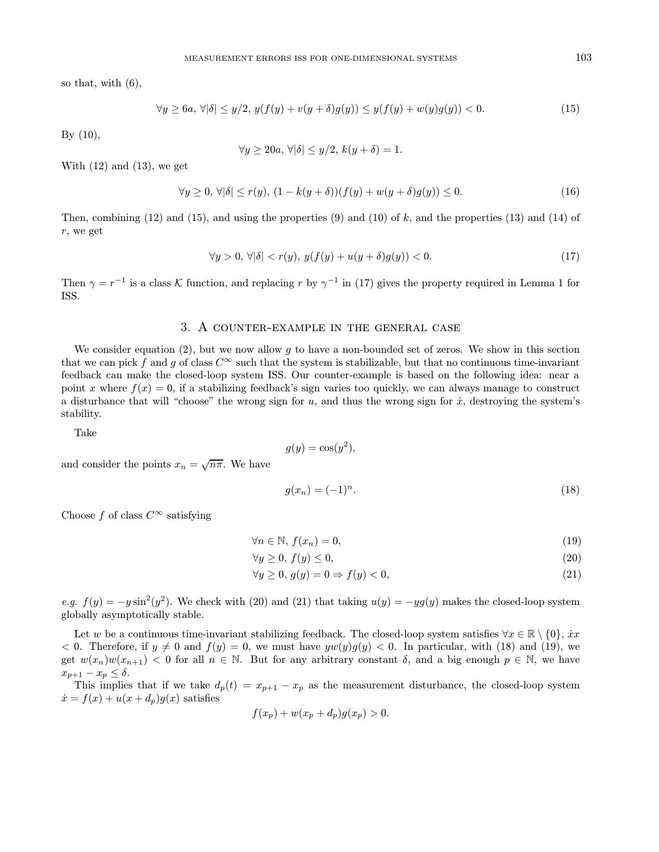so that, with (6),

$$
\forall y \ge 6a, \forall |\delta| \le y/2, \ y(f(y) + v(y + \delta)g(y)) \le y(f(y) + w(y)g(y)) < 0. \tag{15}
$$

By (10),

$$
\forall y \ge 20a, \forall |\delta| \le y/2, k(y+\delta) = 1.
$$

With  $(12)$  and  $(13)$ , we get

$$
\forall y \ge 0, \forall |\delta| \le r(y), (1 - k(y + \delta))(f(y) + w(y + \delta)g(y)) \le 0.
$$
\n
$$
(16)
$$

Then, combining  $(12)$  and  $(15)$ , and using the properties  $(9)$  and  $(10)$  of k, and the properties  $(13)$  and  $(14)$  of r, we get

$$
\forall y > 0, \forall |\delta| < r(y), y(f(y) + u(y + \delta)g(y)) < 0. \tag{17}
$$

Then  $\gamma = r^{-1}$  is a class K function, and replacing r by  $\gamma^{-1}$  in (17) gives the property required in Lemma 1 for ISS.

## 3. A counter-example in the general case

We consider equation (2), but we now allow g to have a non-bounded set of zeros. We show in this section that we can pick f and g of class  $C^{\infty}$  such that the system is stabilizable, but that no continuous time-invariant feedback can make the closed-loop system ISS. Our counter-example is based on the following idea: near a point x where  $f(x) = 0$ , if a stabilizing feedback's sign varies too quickly, we can always manage to construct a disturbance that will "choose" the wrong sign for  $u$ , and thus the wrong sign for  $\dot{x}$ , destroying the system's stability.

Take

$$
g(y) = \cos(y^2),
$$

and consider the points  $x_n = \sqrt{n\pi}$ . We have

$$
g(x_n) = (-1)^n.
$$
 (18)

Choose f of class  $C^{\infty}$  satisfying

$$
\forall n \in \mathbb{N}, f(x_n) = 0,\tag{19}
$$

$$
\forall y \ge 0, \, f(y) \le 0,\tag{20}
$$

$$
\forall y \ge 0, \ g(y) = 0 \Rightarrow f(y) < 0,\tag{21}
$$

e.g.  $f(y) = -y \sin^2(y^2)$ . We check with (20) and (21) that taking  $u(y) = -yg(y)$  makes the closed-loop system globally asymptotically stable.

Let w be a continuous time-invariant stabilizing feedback. The closed-loop system satisfies  $\forall x \in \mathbb{R} \setminus \{0\}, x$  $< 0$ . Therefore, if  $y \neq 0$  and  $f(y) = 0$ , we must have  $yw(y)g(y) < 0$ . In particular, with (18) and (19), we get  $w(x_n)w(x_{n+1}) < 0$  for all  $n \in \mathbb{N}$ . But for any arbitrary constant  $\delta$ , and a big enough  $p \in \mathbb{N}$ , we have  $x_{p+1} - x_p \leq \delta.$ 

This implies that if we take  $d_p(t) = x_{p+1} - x_p$  as the measurement disturbance, the closed-loop system  $\dot{x} = f(x) + u(x + d_p)g(x)$  satisfies

$$
f(x_p) + w(x_p + d_p)g(x_p) > 0.
$$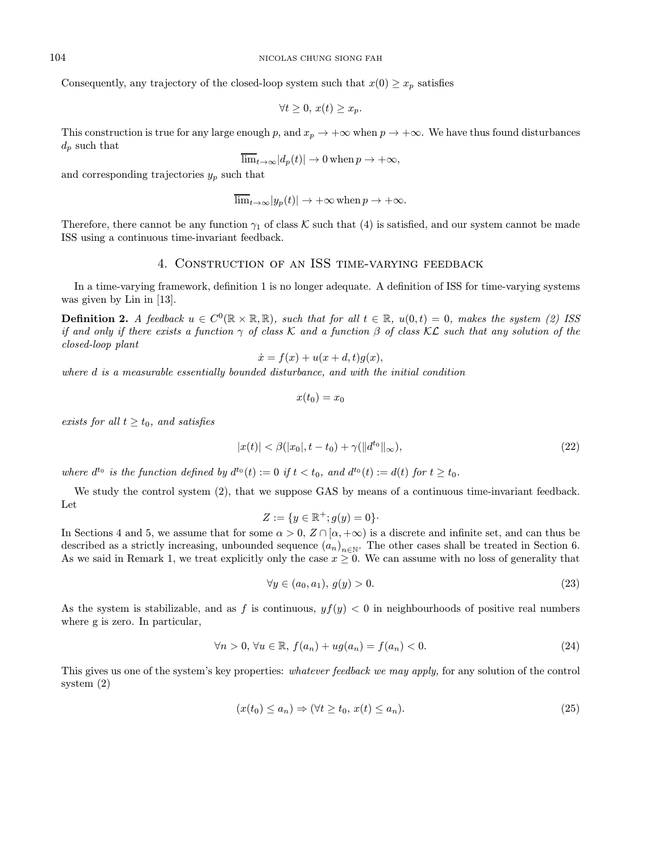Consequently, any trajectory of the closed-loop system such that  $x(0) \geq x_p$  satisfies

$$
\forall t \geq 0, \, x(t) \geq x_p.
$$

This construction is true for any large enough p, and  $x_p \to +\infty$  when  $p \to +\infty$ . We have thus found disturbances  $d_p$  such that

$$
\lim_{t\to\infty}|d_p(t)|\to 0 \text{ when } p\to+\infty,
$$

and corresponding trajectories  $y_p$  such that

$$
\overline{\lim}_{t\to\infty}|y_p(t)|\to+\infty\text{ when }p\to+\infty.
$$

Therefore, there cannot be any function  $\gamma_1$  of class K such that (4) is satisfied, and our system cannot be made ISS using a continuous time-invariant feedback.

## 4. Construction of an ISS time-varying feedback

In a time-varying framework, definition 1 is no longer adequate. A definition of ISS for time-varying systems was given by Lin in [13].

**Definition 2.** A feedback  $u \in C^0(\mathbb{R} \times \mathbb{R}, \mathbb{R})$ , such that for all  $t \in \mathbb{R}$ ,  $u(0, t) = 0$ , makes the system (2) ISS if and only if there exists a function  $\gamma$  of class K and a function  $\beta$  of class K such that any solution of the closed-loop plant

$$
\dot{x} = f(x) + u(x + d, t)g(x),
$$

where d is a measurable essentially bounded disturbance, and with the initial condition

$$
x(t_0)=x_0
$$

exists for all  $t \ge t_0$ , and satisfies

$$
|x(t)| < \beta(|x_0|, t - t_0) + \gamma(||d^{t_0}||_{\infty}),
$$
\n(22)

where  $d^{t_0}$  is the function defined by  $d^{t_0}(t) := 0$  if  $t < t_0$ , and  $d^{t_0}(t) := d(t)$  for  $t \geq t_0$ .

We study the control system (2), that we suppose GAS by means of a continuous time-invariant feedback. Let

$$
Z := \{ y \in \mathbb{R}^+; g(y) = 0 \}.
$$

In Sections 4 and 5, we assume that for some  $\alpha > 0$ ,  $Z \cap [\alpha, +\infty)$  is a discrete and infinite set, and can thus be described as a strictly increasing, unbounded sequence  $(a_n)_{n\in\mathbb{N}}$ . The other cases shall be treated in Section 6. As we said in Remark 1, we treat explicitly only the case  $x \geq 0$ . We can assume with no loss of generality that

$$
\forall y \in (a_0, a_1), \ g(y) > 0. \tag{23}
$$

As the system is stabilizable, and as f is continuous,  $y f(y) < 0$  in neighbourhoods of positive real numbers where g is zero. In particular,

$$
\forall n > 0, \forall u \in \mathbb{R}, f(a_n) + ug(a_n) = f(a_n) < 0. \tag{24}
$$

This gives us one of the system's key properties: *whatever feedback we may apply*, for any solution of the control system (2)

$$
(x(t_0) \le a_n) \Rightarrow (\forall t \ge t_0, x(t) \le a_n). \tag{25}
$$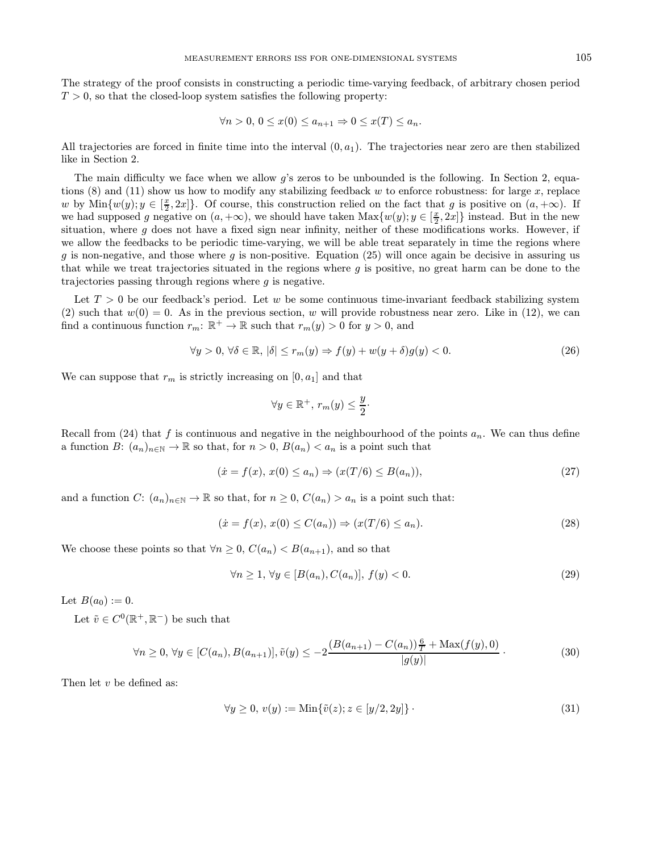The strategy of the proof consists in constructing a periodic time-varying feedback, of arbitrary chosen period  $T > 0$ , so that the closed-loop system satisfies the following property:

$$
\forall n > 0, 0 \le x(0) \le a_{n+1} \Rightarrow 0 \le x(T) \le a_n.
$$

All trajectories are forced in finite time into the interval  $(0, a_1)$ . The trajectories near zero are then stabilized like in Section 2.

The main difficulty we face when we allow  $g$ 's zeros to be unbounded is the following. In Section 2, equations  $(8)$  and  $(11)$  show us how to modify any stabilizing feedback w to enforce robustness: for large x, replace w by  $\text{Min}\{w(y); y \in [\frac{x}{2}, 2x]\}.$  Of course, this construction relied on the fact that g is positive on  $(a, +\infty)$ . If we had supposed g negative on  $(a, +\infty)$ , we should have taken  $\text{Max}\{w(y); y \in [\frac{x}{2}, 2x]\}$  instead. But in the new situation, where  $g$  does not have a fixed sign near infinity, neither of these modifications works. However, if we allow the feedbacks to be periodic time-varying, we will be able treat separately in time the regions where g is non-negative, and those where g is non-positive. Equation (25) will once again be decisive in assuring us that while we treat trajectories situated in the regions where  $g$  is positive, no great harm can be done to the trajectories passing through regions where  $g$  is negative.

Let  $T > 0$  be our feedback's period. Let w be some continuous time-invariant feedback stabilizing system (2) such that  $w(0) = 0$ . As in the previous section, w will provide robustness near zero. Like in (12), we can find a continuous function  $r_m: \mathbb{R}^+ \to \mathbb{R}$  such that  $r_m(y) > 0$  for  $y > 0$ , and

$$
\forall y > 0, \forall \delta \in \mathbb{R}, |\delta| \le r_m(y) \Rightarrow f(y) + w(y + \delta)g(y) < 0. \tag{26}
$$

We can suppose that  $r_m$  is strictly increasing on  $[0, a_1]$  and that

$$
\forall y \in \mathbb{R}^+, r_m(y) \leq \frac{y}{2}.
$$

Recall from (24) that f is continuous and negative in the neighbourhood of the points  $a_n$ . We can thus define a function B:  $(a_n)_{n\in\mathbb{N}}$   $\to \mathbb{R}$  so that, for  $n > 0$ ,  $B(a_n) < a_n$  is a point such that

$$
(\dot{x} = f(x), x(0) \le a_n) \Rightarrow (x(T/6) \le B(a_n)),\tag{27}
$$

and a function  $C: (a_n)_{n \in \mathbb{N}} \to \mathbb{R}$  so that, for  $n \geq 0$ ,  $C(a_n) > a_n$  is a point such that:

$$
(\dot{x} = f(x), x(0) \le C(a_n)) \Rightarrow (x(T/6) \le a_n). \tag{28}
$$

We choose these points so that  $\forall n \geq 0$ ,  $C(a_n) < B(a_{n+1})$ , and so that

$$
\forall n \ge 1, \forall y \in [B(a_n), C(a_n)], \ f(y) < 0. \tag{29}
$$

Let  $B(a_0) := 0$ .

Let  $\tilde{v} \in C^0(\mathbb{R}^+, \mathbb{R}^-)$  be such that

$$
\forall n \ge 0, \forall y \in [C(a_n), B(a_{n+1})], \tilde{v}(y) \le -2 \frac{(B(a_{n+1}) - C(a_n))\frac{6}{T} + \text{Max}(f(y), 0)}{|g(y)|}.
$$
\n(30)

Then let  $v$  be defined as:

$$
\forall y \ge 0, v(y) := \text{Min}\{\tilde{v}(z); z \in [y/2, 2y]\} \tag{31}
$$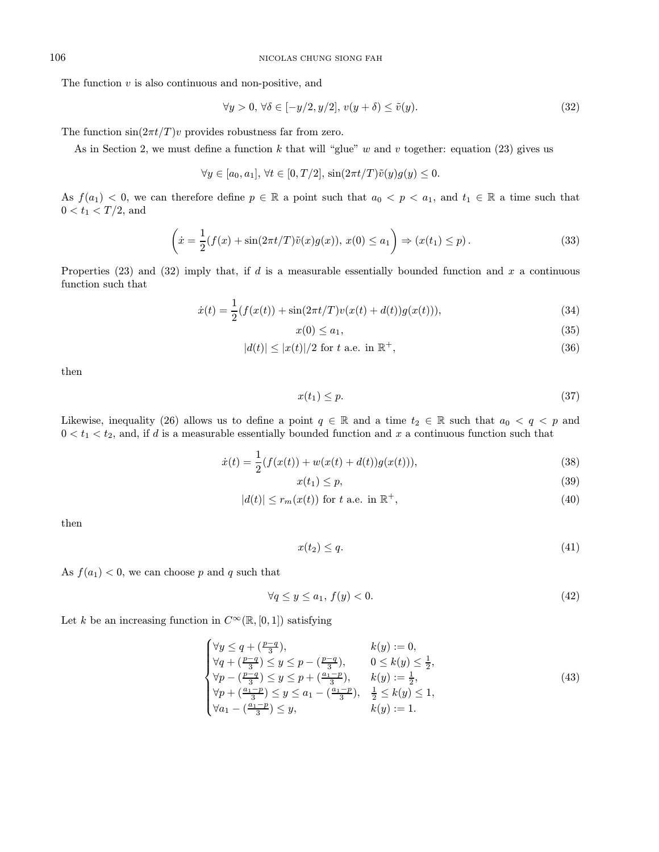The function  $v$  is also continuous and non-positive, and

$$
\forall y > 0, \forall \delta \in [-y/2, y/2], v(y + \delta) \le \tilde{v}(y). \tag{32}
$$

The function  $\sin(2\pi t/T)v$  provides robustness far from zero.

As in Section 2, we must define a function k that will "glue" w and v together: equation (23) gives us

$$
\forall y \in [a_0, a_1], \forall t \in [0, T/2], \, \sin(2\pi t/T)\tilde{v}(y)g(y) \leq 0.
$$

As  $f(a_1) < 0$ , we can therefore define  $p \in \mathbb{R}$  a point such that  $a_0 < p < a_1$ , and  $t_1 \in \mathbb{R}$  a time such that  $0 < t_1 < T/2$  and

$$
\left(\dot{x} = \frac{1}{2}(f(x) + \sin(2\pi t/T)\tilde{v}(x)g(x)), x(0) \le a_1\right) \Rightarrow (x(t_1) \le p).
$$
\n(33)

Properties (23) and (32) imply that, if d is a measurable essentially bounded function and x a continuous function such that

$$
\dot{x}(t) = \frac{1}{2}(f(x(t)) + \sin(2\pi t/T)v(x(t) + d(t))g(x(t))),
$$
\n(34)

$$
x(0) \le a_1,\tag{35}
$$

$$
|d(t)| \le |x(t)|/2 \text{ for } t \text{ a.e. in } \mathbb{R}^+, \tag{36}
$$

then

$$
x(t_1) \le p. \tag{37}
$$

Likewise, inequality (26) allows us to define a point  $q \in \mathbb{R}$  and a time  $t_2 \in \mathbb{R}$  such that  $a_0 < q < p$  and  $0 < t_1 < t_2$ , and, if d is a measurable essentially bounded function and x a continuous function such that

$$
\dot{x}(t) = \frac{1}{2}(f(x(t)) + w(x(t) + d(t))g(x(t))),
$$
\n(38)

$$
x(t_1) \le p,\tag{39}
$$

$$
|d(t)| \le r_m(x(t)) \text{ for } t \text{ a.e. in } \mathbb{R}^+, \tag{40}
$$

then

$$
x(t_2) \le q. \tag{41}
$$

As  $f(a_1) < 0$ , we can choose p and q such that

$$
\forall q \le y \le a_1, \, f(y) < 0. \tag{42}
$$

Let k be an increasing function in  $C^{\infty}(\mathbb{R}, [0, 1])$  satisfying

$$
\begin{cases}\n\forall y \leq q + (\frac{p-q}{3}), & k(y) := 0, \\
\forall q + (\frac{p-q}{3}) \leq y \leq p - (\frac{p-q}{3}), & 0 \leq k(y) \leq \frac{1}{2}, \\
\forall p - (\frac{p-q}{3}) \leq y \leq p + (\frac{a_1-p}{3}), & k(y) := \frac{1}{2}, \\
\forall p + (\frac{a_1-p}{3}) \leq y \leq a_1 - (\frac{a_1-p}{3}), & \frac{1}{2} \leq k(y) \leq 1, \\
\forall a_1 - (\frac{a_1-p}{3}) \leq y, & k(y) := 1.\n\end{cases}
$$
\n(43)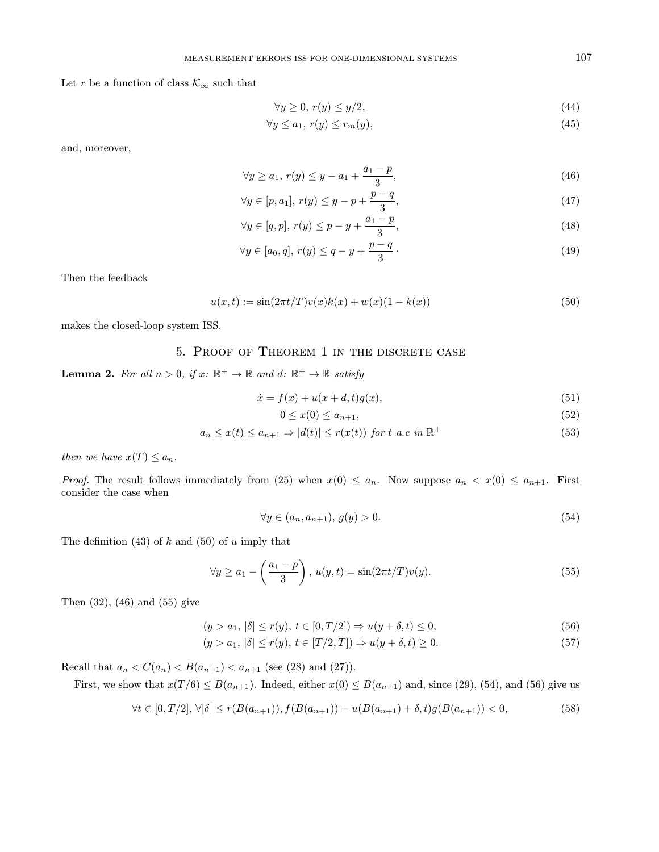Let r be a function of class  $\mathcal{K}_{\infty}$  such that

$$
\forall y \ge 0, r(y) \le y/2,\tag{44}
$$

$$
\forall y \le a_1, r(y) \le r_m(y),\tag{45}
$$

and, moreover,

$$
\forall y \ge a_1, \ r(y) \le y - a_1 + \frac{a_1 - p}{3}, \tag{46}
$$

$$
\forall y \in [p, a_1], \, r(y) \le y - p + \frac{p - q}{3},\tag{47}
$$

$$
\forall y \in [q, p], \ r(y) \le p - y + \frac{a_1 - p}{3}, \tag{48}
$$

$$
\forall y \in [a_0, q], \, r(y) \le q - y + \frac{p - q}{3} \,. \tag{49}
$$

Then the feedback

$$
u(x,t) := \sin(2\pi t/T)v(x)k(x) + w(x)(1 - k(x))
$$
\n(50)

makes the closed-loop system ISS.

# 5. Proof of Theorem 1 in the discrete case

**Lemma 2.** For all  $n > 0$ , if  $x: \mathbb{R}^+ \to \mathbb{R}$  and  $d: \mathbb{R}^+ \to \mathbb{R}$  satisfy

$$
\dot{x} = f(x) + u(x + d, t)g(x),\tag{51}
$$

$$
0 \le x(0) \le a_{n+1},\tag{52}
$$

$$
a_n \le x(t) \le a_{n+1} \Rightarrow |d(t)| \le r(x(t)) \text{ for } t \text{ a.e in } \mathbb{R}^+\tag{53}
$$

then we have  $x(T) \leq a_n$ .

*Proof.* The result follows immediately from (25) when  $x(0) \le a_n$ . Now suppose  $a_n < x(0) \le a_{n+1}$ . First consider the case when

$$
\forall y \in (a_n, a_{n+1}), \ g(y) > 0. \tag{54}
$$

The definition  $(43)$  of k and  $(50)$  of u imply that

$$
\forall y \ge a_1 - \left(\frac{a_1 - p}{3}\right), \ u(y, t) = \sin(2\pi t/T)v(y). \tag{55}
$$

Then (32), (46) and (55) give

$$
(y > a_1, |\delta| \le r(y), t \in [0, T/2]) \Rightarrow u(y + \delta, t) \le 0,
$$
\n(56)

$$
(y > a_1, |\delta| \le r(y), t \in [T/2, T]) \Rightarrow u(y + \delta, t) \ge 0.
$$
\n
$$
(57)
$$

Recall that  $a_n < C(a_n) < B(a_{n+1}) < a_{n+1}$  (see (28) and (27)).

First, we show that  $x(T/6) \leq B(a_{n+1})$ . Indeed, either  $x(0) \leq B(a_{n+1})$  and, since (29), (54), and (56) give us

$$
\forall t \in [0, T/2], \forall |\delta| \le r(B(a_{n+1})), f(B(a_{n+1})) + u(B(a_{n+1}) + \delta, t)g(B(a_{n+1})) < 0,\tag{58}
$$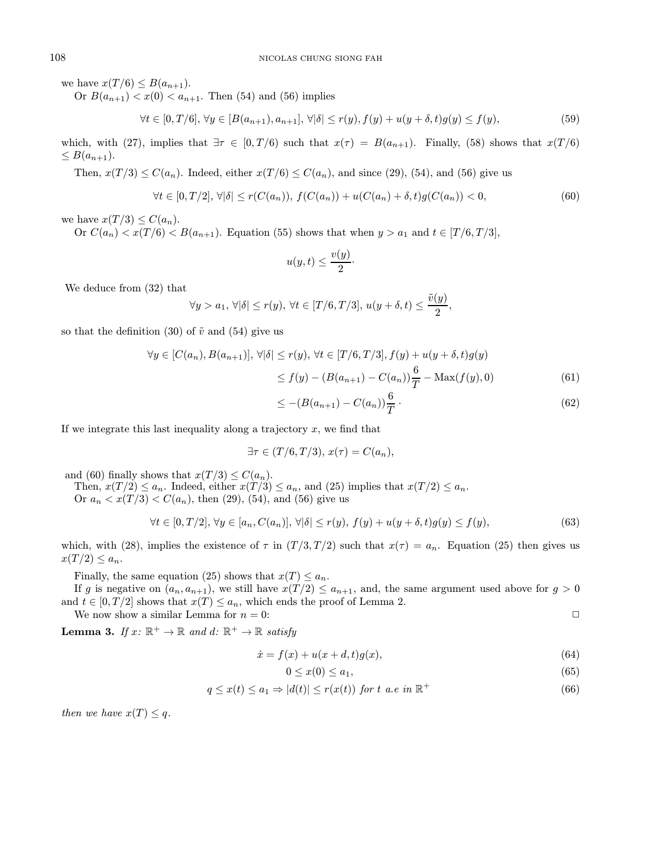we have  $x(T/6) \leq B(a_{n+1})$ .

Or  $B(a_{n+1}) < x(0) < a_{n+1}$ . Then (54) and (56) implies

$$
\forall t \in [0, T/6], \forall y \in [B(a_{n+1}), a_{n+1}], \forall |\delta| \le r(y), f(y) + u(y + \delta, t)g(y) \le f(y),\tag{59}
$$

which, with (27), implies that  $\exists \tau \in [0, T/6)$  such that  $x(\tau) = B(a_{n+1})$ . Finally, (58) shows that  $x(T/6)$  $\leq B(a_{n+1}).$ 

Then,  $x(T/3) \leq C(a_n)$ . Indeed, either  $x(T/6) \leq C(a_n)$ , and since (29), (54), and (56) give us

$$
\forall t \in [0, T/2], \forall |\delta| \le r(C(a_n)), \ f(C(a_n)) + u(C(a_n) + \delta, t)g(C(a_n)) < 0,\tag{60}
$$

we have  $x(T/3) \leq C(a_n)$ .

Or  $C(a_n) < x(T/6) < B(a_{n+1})$ . Equation (55) shows that when  $y > a_1$  and  $t \in [T/6, T/3]$ ,

$$
u(y,t) \le \frac{v(y)}{2}.
$$

We deduce from (32) that

$$
\forall y>a_1, \forall |\delta| \leq r(y), \forall t \in [T/6, T/3], u(y+\delta, t) \leq \frac{v(y)}{2},
$$

so that the definition (30) of  $\tilde{v}$  and (54) give us

$$
\forall y \in [C(a_n), B(a_{n+1})], \forall |\delta| \le r(y), \forall t \in [T/6, T/3], f(y) + u(y + \delta, t)g(y)
$$
  

$$
\le f(y) - (B(a_{n+1}) - C(a_n))\frac{6}{T} - \text{Max}(f(y), 0)
$$
(61)

$$
\leq - (B(a_{n+1}) - C(a_n)) \frac{6}{T} \,. \tag{62}
$$

 $\sim$   $\sqrt{y}$ 

If we integrate this last inequality along a trajectory  $x$ , we find that

$$
\exists \tau \in (T/6, T/3), x(\tau) = C(a_n),
$$

and (60) finally shows that  $x(T/3) \leq C(a_n)$ .

Then,  $x(T/2) \le a_n$ . Indeed, either  $x(T/3) \le a_n$ , and (25) implies that  $x(T/2) \le a_n$ .

Or  $a_n < x(T/3) < C(a_n)$ , then (29), (54), and (56) give us

$$
\forall t \in [0, T/2], \forall y \in [a_n, C(a_n)], \forall |\delta| \le r(y), \ f(y) + u(y + \delta, t)g(y) \le f(y), \tag{63}
$$

which, with (28), implies the existence of  $\tau$  in  $(T/3,T/2)$  such that  $x(\tau) = a_n$ . Equation (25) then gives us  $x(T/2) \leq a_n$ .

Finally, the same equation (25) shows that  $x(T) \leq a_n$ .

If g is negative on  $(a_n, a_{n+1})$ , we still have  $x(T/2) \le a_{n+1}$ , and, the same argument used above for  $g > 0$ and  $t \in [0, T/2]$  shows that  $x(T) \le a_n$ , which ends the proof of Lemma 2.

We now show a similar Lemma for  $n = 0$ :

**Lemma 3.** If  $x: \mathbb{R}^+ \to \mathbb{R}$  and  $d: \mathbb{R}^+ \to \mathbb{R}$  satisfy

$$
\dot{x} = f(x) + u(x + d, t)g(x),
$$
\n(64)

$$
0 \le x(0) \le a_1,\tag{65}
$$

$$
q \le x(t) \le a_1 \Rightarrow |d(t)| \le r(x(t)) \text{ for } t \text{ a.e in } \mathbb{R}^+\tag{66}
$$

then we have  $x(T) \leq q$ .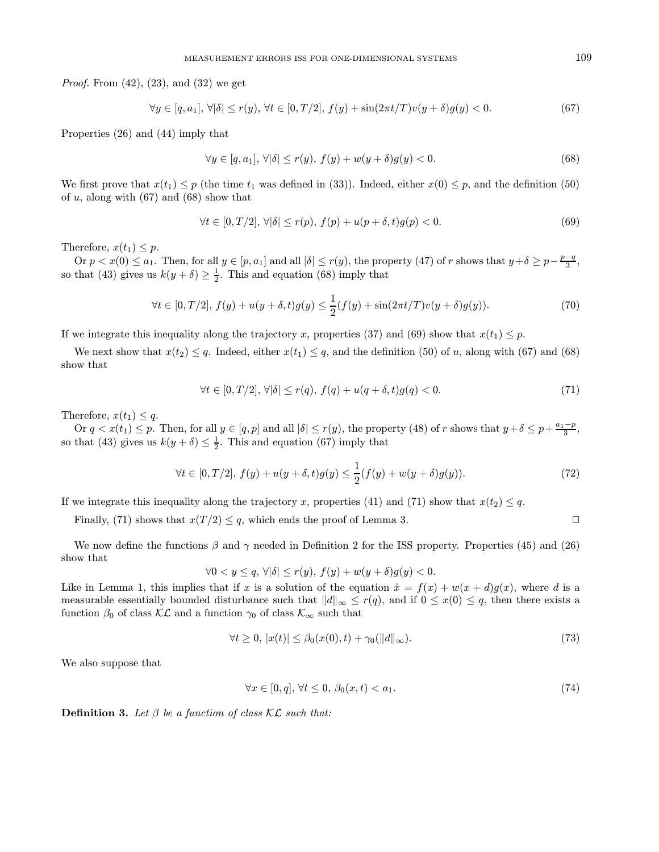*Proof.* From  $(42)$ ,  $(23)$ , and  $(32)$  we get

$$
\forall y \in [q, a_1], \forall |\delta| \le r(y), \forall t \in [0, T/2], f(y) + \sin(2\pi t/T)v(y + \delta)g(y) < 0. \tag{67}
$$

Properties (26) and (44) imply that

$$
\forall y \in [q, a_1], \forall |\delta| \le r(y), \ f(y) + w(y + \delta)g(y) < 0. \tag{68}
$$

We first prove that  $x(t_1) \leq p$  (the time  $t_1$  was defined in (33)). Indeed, either  $x(0) \leq p$ , and the definition (50) of  $u$ , along with (67) and (68) show that

$$
\forall t \in [0, T/2], \forall |\delta| \le r(p), \ f(p) + u(p+\delta, t)g(p) < 0. \tag{69}
$$

Therefore,  $x(t_1) \leq p$ .

Or  $p < x(0) \le a_1$ . Then, for all  $y \in [p, a_1]$  and all  $|\delta| \le r(y)$ , the property (47) of r shows that  $y + \delta \ge p - \frac{p-q}{3}$ , so that (43) gives us  $k(y + \delta) \ge \frac{1}{2}$ . This and equation (68) imply that

$$
\forall t \in [0, T/2], \ f(y) + u(y + \delta, t)g(y) \le \frac{1}{2}(f(y) + \sin(2\pi t/T)v(y + \delta)g(y)). \tag{70}
$$

If we integrate this inequality along the trajectory x, properties (37) and (69) show that  $x(t_1) \leq p$ .

We next show that  $x(t_2) \leq q$ . Indeed, either  $x(t_1) \leq q$ , and the definition (50) of u, along with (67) and (68) show that

$$
\forall t \in [0, T/2], \forall |\delta| \le r(q), \ f(q) + u(q+\delta, t)g(q) < 0. \tag{71}
$$

Therefore,  $x(t_1) \leq q$ .

Or  $q < x(t_1) \leq p$ . Then, for all  $y \in [q, p]$  and all  $|\delta| \leq r(y)$ , the property (48) of r shows that  $y + \delta \leq p + \frac{a_1-p}{3}$ , so that (43) gives us  $k(y + \delta) \leq \frac{1}{2}$ . This and equation (67) imply that

$$
\forall t \in [0, T/2], \ f(y) + u(y + \delta, t)g(y) \le \frac{1}{2}(f(y) + w(y + \delta)g(y)). \tag{72}
$$

If we integrate this inequality along the trajectory x, properties (41) and (71) show that  $x(t_2) \leq q$ .

Finally, (71) shows that  $x(T/2) \leq q$ , which ends the proof of Lemma 3.

We now define the functions  $\beta$  and  $\gamma$  needed in Definition 2 for the ISS property. Properties (45) and (26) show that

$$
\forall 0 < y \le q, \, \forall |\delta| \le r(y), \, f(y) + w(y + \delta)g(y) < 0.
$$

Like in Lemma 1, this implies that if x is a solution of the equation  $\dot{x} = f(x) + w(x + d)g(x)$ , where d is a measurable essentially bounded disturbance such that  $||d||_{\infty} \leq r(q)$ , and if  $0 \leq x(0) \leq q$ , then there exists a function  $\beta_0$  of class  $\mathcal{KL}$  and a function  $\gamma_0$  of class  $\mathcal{K}_{\infty}$  such that

$$
\forall t \ge 0, \, |x(t)| \le \beta_0(x(0), t) + \gamma_0(||d||_{\infty}).\tag{73}
$$

We also suppose that

$$
\forall x \in [0, q], \forall t \le 0, \beta_0(x, t) < a_1. \tag{74}
$$

**Definition 3.** Let  $\beta$  be a function of class KL such that: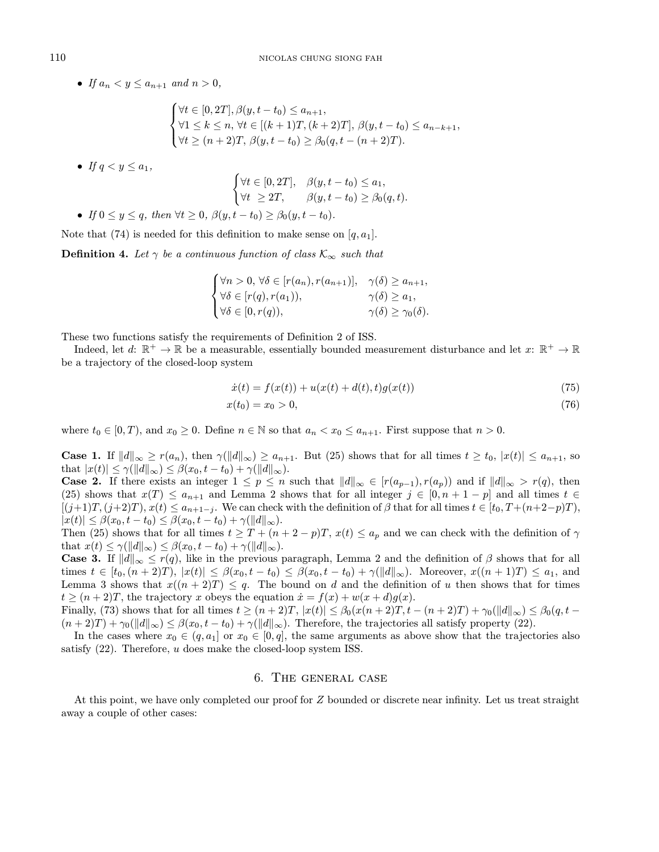• If  $a_n < y \le a_{n+1}$  and  $n > 0$ ,

$$
\begin{cases} \forall t \in [0, 2T], \beta(y, t - t_0) \le a_{n+1}, \\ \forall 1 \le k \le n, \forall t \in [(k+1)T, (k+2)T], \beta(y, t - t_0) \le a_{n-k+1}, \\ \forall t \ge (n+2)T, \beta(y, t - t_0) \ge \beta_0(q, t - (n+2)T). \end{cases}
$$

• If  $q < y \leq a_1$ ,

$$
\begin{cases} \forall t \in [0, 2T], & \beta(y, t - t_0) \le a_1, \\ \forall t \ge 2T, & \beta(y, t - t_0) \ge \beta_0(q, t). \end{cases}
$$

• If  $0 \le y \le q$ , then  $\forall t \ge 0$ ,  $\beta(y, t - t_0) \ge \beta_0(y, t - t_0)$ .

Note that (74) is needed for this definition to make sense on  $[q, a_1]$ .

**Definition 4.** Let  $\gamma$  be a continuous function of class  $\mathcal{K}_{\infty}$  such that

$$
\begin{cases}\n\forall n > 0, \forall \delta \in [r(a_n), r(a_{n+1})], & \gamma(\delta) \ge a_{n+1}, \\
\forall \delta \in [r(q), r(a_1)), & \gamma(\delta) \ge a_1, \\
\forall \delta \in [0, r(q)), & \gamma(\delta) \ge \gamma_0(\delta).\n\end{cases}
$$

These two functions satisfy the requirements of Definition 2 of ISS.

Indeed, let  $d: \mathbb{R}^+ \to \mathbb{R}$  be a measurable, essentially bounded measurement disturbance and let  $x: \mathbb{R}^+ \to \mathbb{R}$ be a trajectory of the closed-loop system

$$
\dot{x}(t) = f(x(t)) + u(x(t) + d(t), t)g(x(t))
$$
\n(75)

$$
x(t_0) = x_0 > 0,\t(76)
$$

where  $t_0 \in [0, T)$ , and  $x_0 \ge 0$ . Define  $n \in \mathbb{N}$  so that  $a_n < x_0 \le a_{n+1}$ . First suppose that  $n > 0$ .

**Case 1.** If  $||d||_{\infty} \ge r(a_n)$ , then  $\gamma(||d||_{\infty}) \ge a_{n+1}$ . But (25) shows that for all times  $t \ge t_0$ ,  $|x(t)| \le a_{n+1}$ , so that  $|x(t)| \leq \gamma(||d||_{\infty}) \leq \beta(x_0, t - t_0) + \gamma(||d||_{\infty}).$ 

**Case 2.** If there exists an integer  $1 \leq p \leq n$  such that  $||d||_{\infty} \in [r(a_{p-1}), r(a_p))$  and if  $||d||_{\infty} > r(q)$ , then (25) shows that  $x(T) \le a_{n+1}$  and Lemma 2 shows that for all integer  $j \in [0, n+1-p]$  and all times  $t \in$  $[(j+1)T, (j+2)T), x(t) \le a_{n+1-j}$ . We can check with the definition of  $\beta$  that for all times  $t \in [t_0, T + (n+2-p)T)$ ,  $|x(t)| \leq \beta(x_0, t - t_0) \leq \beta(x_0, t - t_0) + \gamma(||d||_{\infty}).$ 

Then (25) shows that for all times  $t \geq T + (n + 2 - p)T$ ,  $x(t) \leq a_p$  and we can check with the definition of  $\gamma$ that  $x(t) \leq \gamma(||d||_{\infty}) \leq \beta(x_0, t - t_0) + \gamma(||d||_{\infty}).$ 

**Case 3.** If  $||d||_{\infty} \leq r(q)$ , like in the previous paragraph, Lemma 2 and the definition of  $\beta$  shows that for all times  $t \in [t_0, (n+2)T), |x(t)| \leq \beta(x_0, t-t_0) \leq \beta(x_0, t-t_0) + \gamma(||d||_{\infty})$ . Moreover,  $x((n+1)T) \leq a_1$ , and Lemma 3 shows that  $x((n+2)T) \leq q$ . The bound on d and the definition of u then shows that for times  $t \geq (n+2)T$ , the trajectory x obeys the equation  $\dot{x} = f(x) + w(x+d)g(x)$ .

Finally, (73) shows that for all times  $t \ge (n+2)T$ ,  $|x(t)| \le \beta_0(x(n+2)T,t-(n+2)T) + \gamma_0(||d||_{\infty}) \le \beta_0(q,t-\alpha)$  $(n+2)T$  +  $\gamma_0(||d||_{\infty}) \leq \beta(x_0, t-t_0) + \gamma(||d||_{\infty})$ . Therefore, the trajectories all satisfy property (22).

In the cases where  $x_0 \in (q, a_1]$  or  $x_0 \in [0, q]$ , the same arguments as above show that the trajectories also satisfy (22). Therefore, u does make the closed-loop system ISS.

### 6. The general case

At this point, we have only completed our proof for Z bounded or discrete near infinity. Let us treat straight away a couple of other cases: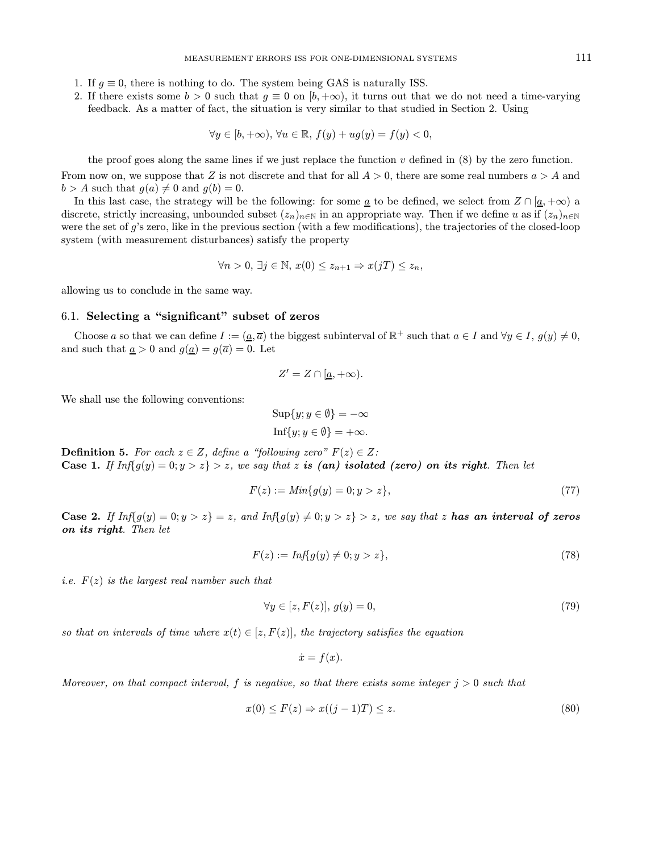- 1. If  $g \equiv 0$ , there is nothing to do. The system being GAS is naturally ISS.
- 2. If there exists some  $b > 0$  such that  $q \equiv 0$  on  $[b, +\infty)$ , it turns out that we do not need a time-varying feedback. As a matter of fact, the situation is very similar to that studied in Section 2. Using

$$
\forall y \in [b, +\infty), \forall u \in \mathbb{R}, f(y) + ug(y) = f(y) < 0,
$$

the proof goes along the same lines if we just replace the function  $v$  defined in  $(8)$  by the zero function.

From now on, we suppose that Z is not discrete and that for all  $A > 0$ , there are some real numbers  $a > A$  and  $b > A$  such that  $g(a) \neq 0$  and  $g(b) = 0$ .

In this last case, the strategy will be the following: for some  $\underline{a}$  to be defined, we select from  $Z \cap [\underline{a}, +\infty)$  a discrete, strictly increasing, unbounded subset  $(z_n)_{n\in\mathbb{N}}$  in an appropriate way. Then if we define u as if  $(z_n)_{n\in\mathbb{N}}$ were the set of g's zero, like in the previous section (with a few modifications), the trajectories of the closed-loop system (with measurement disturbances) satisfy the property

$$
\forall n > 0, \ \exists j \in \mathbb{N}, \ x(0) \le z_{n+1} \Rightarrow x(jT) \le z_n,
$$

allowing us to conclude in the same way.

## 6.1. Selecting a "significant" subset of zeros

Choose a so that we can define  $I := (\underline{a}, \overline{a})$  the biggest subinterval of  $\mathbb{R}^+$  such that  $a \in I$  and  $\forall y \in I$ ,  $g(y) \neq 0$ , and such that  $\underline{a} > 0$  and  $g(\underline{a}) = g(\overline{a}) = 0$ . Let

$$
Z'=Z\cap [\underline{a},+\infty).
$$

We shall use the following conventions:

$$
Sup{y; y \in \emptyset} = -\infty
$$

$$
Inf{y; y \in \emptyset} = +\infty.
$$

**Definition 5.** For each  $z \in Z$ , define a "following zero"  $F(z) \in Z$ : Case 1. If  $Inf{g(y) = 0; y > z} > z$ , we say that z is (an) isolated (zero) on its right. Then let

$$
F(z) := Min\{g(y) = 0; y > z\},\tag{77}
$$

Case 2. If  $Inf{g(y) = 0; y > z} = z$ , and  $Inf{g(y) \neq 0; y > z} > z$ , we say that z has an interval of zeros on its right. Then let

$$
F(z) := \text{Inf}\{g(y) \neq 0; y > z\},\tag{78}
$$

*i.e.*  $F(z)$  *is the largest real number such that* 

$$
\forall y \in [z, F(z)], \ g(y) = 0,\tag{79}
$$

so that on intervals of time where  $x(t) \in [z, F(z)]$ , the trajectory satisfies the equation

$$
\dot{x} = f(x).
$$

Moreover, on that compact interval, f is negative, so that there exists some integer  $j > 0$  such that

$$
x(0) \le F(z) \Rightarrow x((j-1)T) \le z. \tag{80}
$$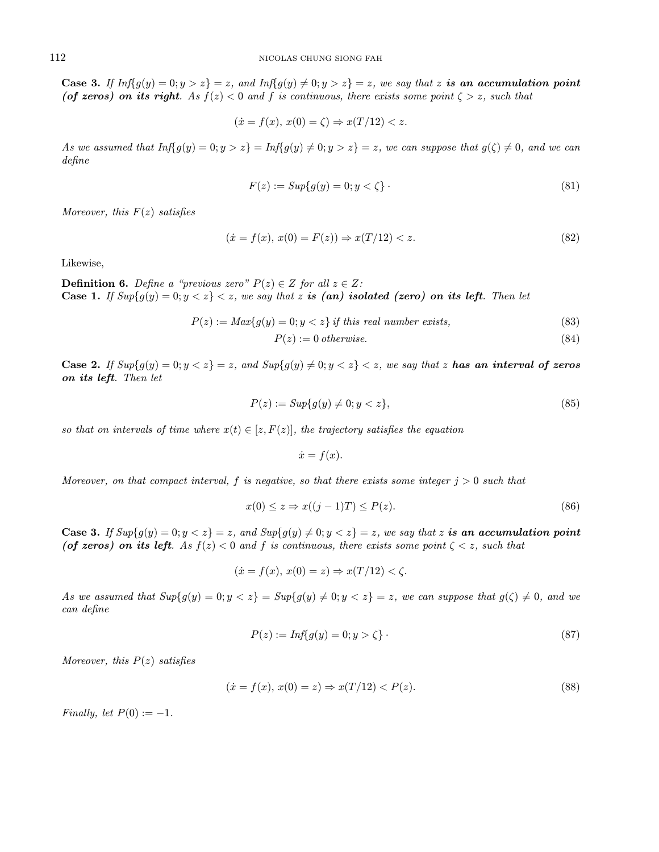Case 3. If  $Inf{g(y) = 0; y > z} = z$ , and  $Inf{g(y) \neq 0; y > z} = z$ , we say that z is an accumulation point (of zeros) on its right. As  $f(z) < 0$  and f is continuous, there exists some point  $\zeta > z$ , such that

$$
(\dot{x} = f(x), x(0) = \zeta) \Rightarrow x(T/12) < z.
$$

As we assumed that  $Inf{g(y) = 0; y > z} = Inf{g(y) \neq 0; y > z} = z$ , we can suppose that  $g(\zeta) \neq 0$ , and we can define

$$
F(z) := Sup\{g(y) = 0; y < \zeta\}.
$$
\n(81)

Moreover, this  $F(z)$  satisfies

$$
(\dot{x} = f(x), x(0) = F(z)) \Rightarrow x(T/12) < z. \tag{82}
$$

Likewise,

**Definition 6.** Define a "previous zero"  $P(z) \in Z$  for all  $z \in Z$ : Case 1. If  $Sup{g(y) = 0; y < z} < z$ , we say that z is (an) isolated (zero) on its left. Then let

$$
P(z) := Max\{g(y) = 0; y < z\} \text{ if this real number exists,} \tag{83}
$$

$$
P(z) := 0 \text{ otherwise.}
$$
\n
$$
(84)
$$

Case 2. If  $Sup{g(y) = 0; y < z} = z$ , and  $Sup{g(y) \neq 0; y < z} < z$ , we say that z **has an interval of zeros** on its left. Then let

$$
P(z) := Sup\{g(y) \neq 0; y < z\},\tag{85}
$$

so that on intervals of time where  $x(t) \in [z, F(z)]$ , the trajectory satisfies the equation

$$
\dot{x} = f(x).
$$

Moreover, on that compact interval, f is negative, so that there exists some integer  $j > 0$  such that

$$
x(0) \le z \Rightarrow x((j-1)T) \le P(z). \tag{86}
$$

**Case 3.** If  $Sup\{g(y) = 0; y < z\} = z$ , and  $Sup\{g(y) \neq 0; y < z\} = z$ , we say that z is an accumulation point (of zeros) on its left. As  $f(z) < 0$  and f is continuous, there exists some point  $\zeta < z$ , such that

$$
(\dot{x} = f(x), x(0) = z) \Rightarrow x(T/12) < \zeta.
$$

As we assumed that  $Sup{g(y) = 0; y < z}$  =  $Sup{g(y) \neq 0; y < z}$  = z, we can suppose that  $g(\zeta) \neq 0$ , and we can define

$$
P(z) := \text{Inf}\{g(y) = 0; y > \zeta\} \tag{87}
$$

Moreover, this  $P(z)$  satisfies

$$
(\dot{x} = f(x), x(0) = z) \Rightarrow x(T/12) < P(z). \tag{88}
$$

Finally, let  $P(0) := -1$ .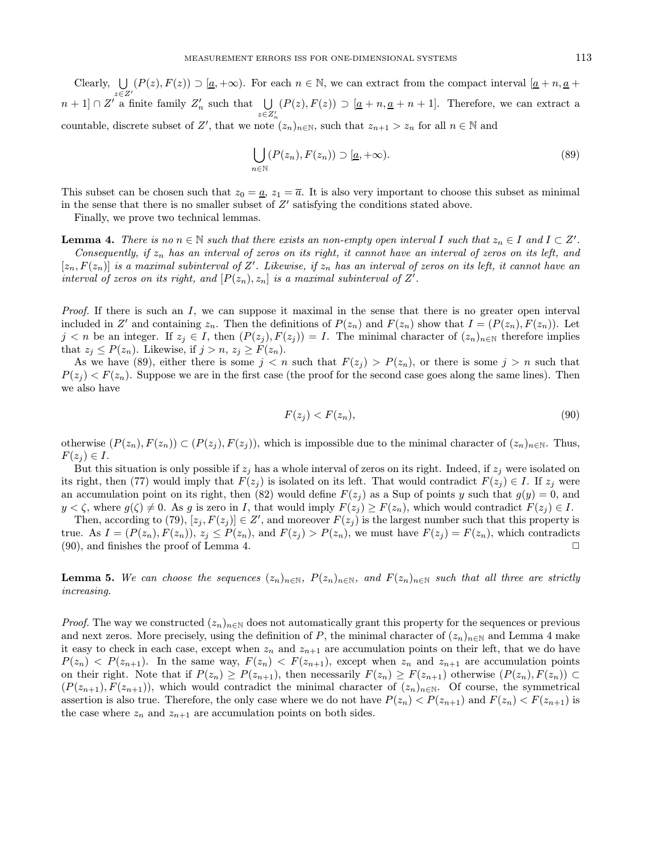$Clearly,  $\bigcup$$  $\bigcup_{z \in Z'} (P(z), F(z)) \supseteq [a, +\infty)$ . For each  $n \in \mathbb{N}$ , we can extract from the compact interval  $[a + n, a + \infty]$  $n+1] \cap Z'$  a finite family  $Z'_n$  such that  $\bigcup_{z \in Z'_n}$  $(P(z), F(z)) \supseteq [a+n, a+n+1]$ . Therefore, we can extract a countable, discrete subset of Z', that we note  $(z_n)_{n\in\mathbb{N}}$ , such that  $z_{n+1} > z_n$  for all  $n \in \mathbb{N}$  and

$$
\bigcup_{n \in \mathbb{N}} (P(z_n), F(z_n)) \supset [\underline{a}, +\infty). \tag{89}
$$

This subset can be chosen such that  $z_0 = \underline{a}$ ,  $z_1 = \overline{a}$ . It is also very important to choose this subset as minimal in the sense that there is no smaller subset of  $Z'$  satisfying the conditions stated above.

Finally, we prove two technical lemmas.

**Lemma 4.** There is no  $n \in \mathbb{N}$  such that there exists an non-empty open interval I such that  $z_n \in I$  and  $I \subset Z'$ . Consequently, if  $z_n$  has an interval of zeros on its right, it cannot have an interval of zeros on its left, and  $[z_n, F(z_n)]$  is a maximal subinterval of Z'. Likewise, if  $z_n$  has an interval of zeros on its left, it cannot have an interval of zeros on its right, and  $[P(z_n), z_n]$  is a maximal subinterval of Z'.

*Proof.* If there is such an I, we can suppose it maximal in the sense that there is no greater open interval included in Z' and containing  $z_n$ . Then the definitions of  $P(z_n)$  and  $F(z_n)$  show that  $I = (P(z_n), F(z_n))$ . Let  $j < n$  be an integer. If  $z_j \in I$ , then  $(P(z_j), F(z_j)) = I$ . The minimal character of  $(z_n)_{n \in \mathbb{N}}$  therefore implies that  $z_j \leq P(z_n)$ . Likewise, if  $j > n$ ,  $z_j \geq F(z_n)$ .

As we have (89), either there is some  $j < n$  such that  $F(z_j) > P(z_n)$ , or there is some  $j > n$  such that  $P(z_i) < F(z_n)$ . Suppose we are in the first case (the proof for the second case goes along the same lines). Then we also have

$$
F(z_j) < F(z_n),\tag{90}
$$

otherwise  $(P(z_n), F(z_n)) \subset (P(z_j), F(z_j))$ , which is impossible due to the minimal character of  $(z_n)_{n \in \mathbb{N}}$ . Thus,  $F(z_j) \in I$ .

But this situation is only possible if  $z_j$  has a whole interval of zeros on its right. Indeed, if  $z_j$  were isolated on its right, then (77) would imply that  $F(z_i)$  is isolated on its left. That would contradict  $F(z_i) \in I$ . If  $z_i$  were an accumulation point on its right, then (82) would define  $F(z_j)$  as a Sup of points y such that  $g(y) = 0$ , and  $y < \zeta$ , where  $g(\zeta) \neq 0$ . As g is zero in I, that would imply  $F(z_j) \geq F(z_n)$ , which would contradict  $F(z_j) \in I$ .

Then, according to (79),  $[z_j, F(z_j)] \in Z'$ , and moreover  $F(z_j)$  is the largest number such that this property is true. As  $I = (P(z_n), F(z_n)), z_j \leq P(z_n)$ , and  $F(z_j) > P(z_n)$ , we must have  $F(z_j) = F(z_n)$ , which contradicts  $(90)$ , and finishes the proof of Lemma 4.

**Lemma 5.** We can choose the sequences  $(z_n)_{n\in\mathbb{N}}$ ,  $P(z_n)_{n\in\mathbb{N}}$ , and  $F(z_n)_{n\in\mathbb{N}}$  such that all three are strictly increasing.

*Proof.* The way we constructed  $(z_n)_{n\in\mathbb{N}}$  does not automatically grant this property for the sequences or previous and next zeros. More precisely, using the definition of P, the minimal character of  $(z_n)_{n\in\mathbb{N}}$  and Lemma 4 make it easy to check in each case, except when  $z_n$  and  $z_{n+1}$  are accumulation points on their left, that we do have  $P(z_n) < P(z_{n+1})$ . In the same way,  $F(z_n) < F(z_{n+1})$ , except when  $z_n$  and  $z_{n+1}$  are accumulation points on their right. Note that if  $P(z_n) \geq P(z_{n+1})$ , then necessarily  $F(z_n) \geq F(z_{n+1})$  otherwise  $(P(z_n), F(z_n)) \subset$  $(P(z_{n+1}), F(z_{n+1}))$ , which would contradict the minimal character of  $(z_n)_{n\in\mathbb{N}}$ . Of course, the symmetrical assertion is also true. Therefore, the only case where we do not have  $P(z_n) < P(z_{n+1})$  and  $F(z_n) < F(z_{n+1})$  is the case where  $z_n$  and  $z_{n+1}$  are accumulation points on both sides.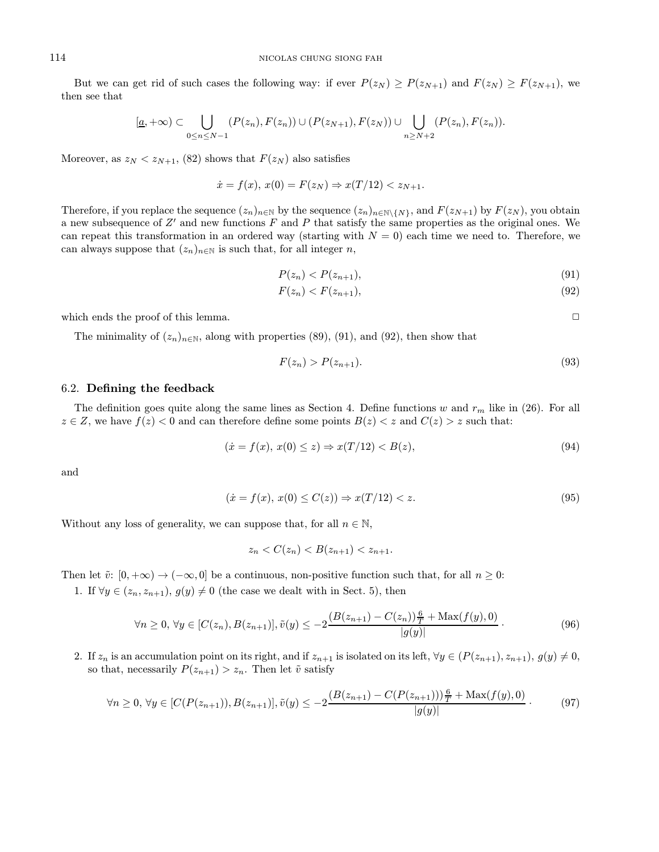But we can get rid of such cases the following way: if ever  $P(z_N) \ge P(z_{N+1})$  and  $F(z_N) \ge F(z_{N+1})$ , we then see that

$$
[\underline{a},+\infty) \subset \bigcup_{0 \leq n \leq N-1} (P(z_n),F(z_n)) \cup (P(z_{N+1}),F(z_N)) \cup \bigcup_{n \geq N+2} (P(z_n),F(z_n)).
$$

Moreover, as  $z_N < z_{N+1}$ , (82) shows that  $F(z_N)$  also satisfies

$$
\dot{x} = f(x), \, x(0) = F(z_N) \Rightarrow x(T/12) < z_{N+1}.
$$

Therefore, if you replace the sequence  $(z_n)_{n\in\mathbb{N}}$  by the sequence  $(z_n)_{n\in\mathbb{N}\setminus\{N\}}$ , and  $F(z_{N+1})$  by  $F(z_N)$ , you obtain a new subsequence of  $Z'$  and new functions F and P that satisfy the same properties as the original ones. We can repeat this transformation in an ordered way (starting with  $N = 0$ ) each time we need to. Therefore, we can always suppose that  $(z_n)_{n\in\mathbb{N}}$  is such that, for all integer n,

$$
P(z_n) < P(z_{n+1}),\tag{91}
$$

$$
F(z_n) < F(z_{n+1}),\tag{92}
$$

which ends the proof of this lemma.  $\Box$ 

The minimality of  $(z_n)_{n\in\mathbb{N}}$ , along with properties (89), (91), and (92), then show that

$$
F(z_n) > P(z_{n+1}).\tag{93}
$$

### 6.2. Defining the feedback

The definition goes quite along the same lines as Section 4. Define functions w and  $r_m$  like in (26). For all  $z \in Z$ , we have  $f(z) < 0$  and can therefore define some points  $B(z) < z$  and  $C(z) > z$  such that:

$$
(\dot{x} = f(x), x(0) \le z) \Rightarrow x(T/12) < B(z),\tag{94}
$$

and

$$
(\dot{x} = f(x), x(0) \le C(z)) \Rightarrow x(T/12) < z. \tag{95}
$$

Without any loss of generality, we can suppose that, for all  $n \in \mathbb{N}$ ,

$$
z_n < C(z_n) < B(z_{n+1}) < z_{n+1}.
$$

Then let  $\tilde{v}: [0, +\infty) \to (-\infty, 0]$  be a continuous, non-positive function such that, for all  $n \geq 0$ :

1. If  $\forall y \in (z_n, z_{n+1}), g(y) \neq 0$  (the case we dealt with in Sect. 5), then

$$
\forall n \ge 0, \forall y \in [C(z_n), B(z_{n+1})], \tilde{v}(y) \le -2 \frac{(B(z_{n+1}) - C(z_n))\frac{6}{T} + \text{Max}(f(y), 0)}{|g(y)|}.
$$
\n(96)

2. If  $z_n$  is an accumulation point on its right, and if  $z_{n+1}$  is isolated on its left,  $\forall y \in (P(z_{n+1}), z_{n+1}), g(y) \neq 0$ , so that, necessarily  $P(z_{n+1}) > z_n$ . Then let  $\tilde{v}$  satisfy

$$
\forall n \ge 0, \, \forall y \in [C(P(z_{n+1})), B(z_{n+1})], \tilde{v}(y) \le -2 \frac{(B(z_{n+1}) - C(P(z_{n+1})))\frac{6}{T} + \text{Max}(f(y), 0)}{|g(y)|}.
$$
\n
$$
(97)
$$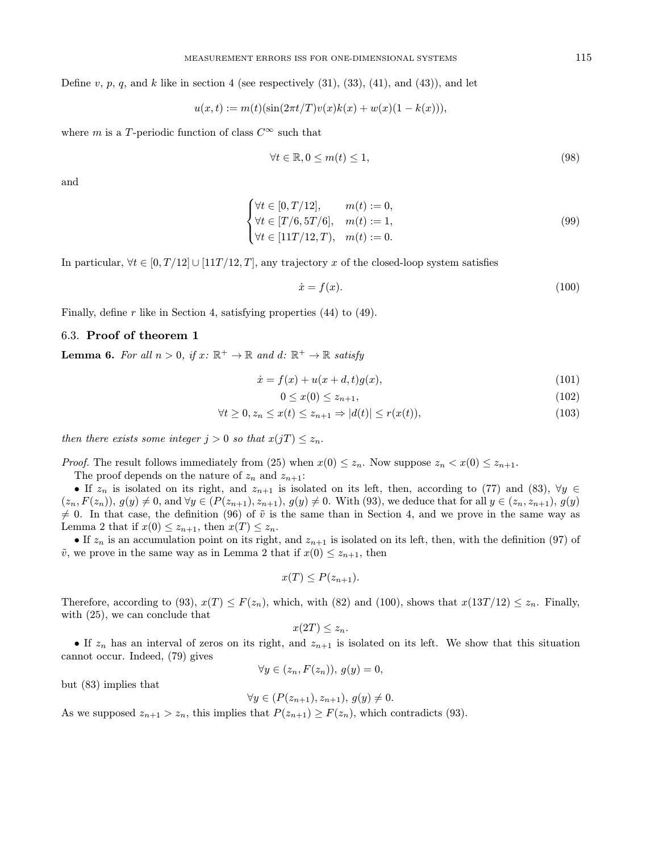Define v, p, q, and k like in section 4 (see respectively  $(31)$ ,  $(33)$ ,  $(41)$ , and  $(43)$ ), and let

$$
u(x,t) := m(t)(\sin(2\pi t/T)v(x)k(x) + w(x)(1 - k(x))),
$$

where m is a T-periodic function of class  $C^{\infty}$  such that

$$
\forall t \in \mathbb{R}, 0 \le m(t) \le 1,\tag{98}
$$

and

$$
\begin{cases} \forall t \in [0, T/12], & m(t) := 0, \\ \forall t \in [T/6, 5T/6], & m(t) := 1, \\ \forall t \in [11T/12, T), & m(t) := 0. \end{cases}
$$
(99)

In particular,  $\forall t \in [0, T/12] \cup [11T/12, T]$ , any trajectory x of the closed-loop system satisfies

$$
\dot{x} = f(x). \tag{100}
$$

Finally, define  $r$  like in Section 4, satisfying properties  $(44)$  to  $(49)$ .

### 6.3. Proof of theorem 1

**Lemma 6.** For all  $n > 0$ , if  $x: \mathbb{R}^+ \to \mathbb{R}$  and  $d: \mathbb{R}^+ \to \mathbb{R}$  satisfy

$$
\dot{x} = f(x) + u(x + d, t)g(x),\tag{101}
$$

$$
0 \leq x(0) \leq z_{n+1},\tag{102}
$$

$$
\forall t \ge 0, z_n \le x(t) \le z_{n+1} \Rightarrow |d(t)| \le r(x(t)),\tag{103}
$$

then there exists some integer  $j > 0$  so that  $x(jT) \leq z_n$ .

*Proof.* The result follows immediately from (25) when  $x(0) \leq z_n$ . Now suppose  $z_n < x(0) \leq z_{n+1}$ .

The proof depends on the nature of  $z_n$  and  $z_{n+1}$ :

• If  $z_n$  is isolated on its right, and  $z_{n+1}$  is isolated on its left, then, according to (77) and (83),  $\forall y \in$  $(z_n, F(z_n)), g(y) \neq 0$ , and  $\forall y \in (P(z_{n+1}), z_{n+1}), g(y) \neq 0$ . With (93), we deduce that for all  $y \in (z_n, z_{n+1}), g(y)$  $\neq$  0. In that case, the definition (96) of  $\tilde{v}$  is the same than in Section 4, and we prove in the same way as Lemma 2 that if  $x(0) \leq z_{n+1}$ , then  $x(T) \leq z_n$ .

• If  $z_n$  is an accumulation point on its right, and  $z_{n+1}$  is isolated on its left, then, with the definition (97) of  $\tilde{v}$ , we prove in the same way as in Lemma 2 that if  $x(0) \leq z_{n+1}$ , then

$$
x(T) \le P(z_{n+1}).
$$

Therefore, according to (93),  $x(T) \leq F(z_n)$ , which, with (82) and (100), shows that  $x(13T/12) \leq z_n$ . Finally, with (25), we can conclude that

$$
x(2T) \le z_n.
$$

• If  $z_n$  has an interval of zeros on its right, and  $z_{n+1}$  is isolated on its left. We show that this situation cannot occur. Indeed, (79) gives

$$
\forall y \in (z_n, F(z_n)), \ g(y) = 0,
$$

but (83) implies that

$$
\forall y \in (P(z_{n+1}), z_{n+1}), g(y) \neq 0.
$$

As we supposed  $z_{n+1} > z_n$ , this implies that  $P(z_{n+1}) \geq F(z_n)$ , which contradicts (93).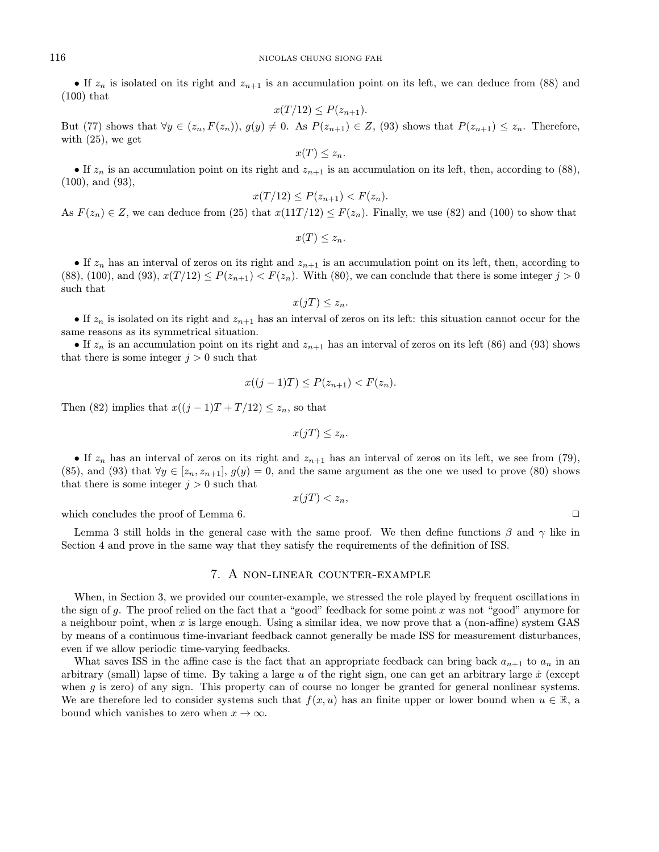• If  $z_n$  is isolated on its right and  $z_{n+1}$  is an accumulation point on its left, we can deduce from (88) and (100) that

$$
x(T/12) \le P(z_{n+1}).
$$

But (77) shows that  $\forall y \in (z_n, F(z_n)), g(y) \neq 0$ . As  $P(z_{n+1}) \in Z$ , (93) shows that  $P(z_{n+1}) \leq z_n$ . Therefore, with (25), we get

$$
x(T) \leq z_n.
$$

• If  $z_n$  is an accumulation point on its right and  $z_{n+1}$  is an accumulation on its left, then, according to (88), (100), and (93),

$$
x(T/12) \le P(z_{n+1}) < F(z_n).
$$

As  $F(z_n) \in Z$ , we can deduce from (25) that  $x(11T/12) \leq F(z_n)$ . Finally, we use (82) and (100) to show that

$$
x(T) \le z_n.
$$

• If  $z_n$  has an interval of zeros on its right and  $z_{n+1}$  is an accumulation point on its left, then, according to (88), (100), and (93),  $x(T/12) \le P(z_{n+1}) < F(z_n)$ . With (80), we can conclude that there is some integer  $j > 0$ such that

$$
x(jT)\leq z_n.
$$

• If  $z_n$  is isolated on its right and  $z_{n+1}$  has an interval of zeros on its left: this situation cannot occur for the same reasons as its symmetrical situation.

• If  $z_n$  is an accumulation point on its right and  $z_{n+1}$  has an interval of zeros on its left (86) and (93) shows that there is some integer  $j > 0$  such that

$$
x((j-1)T) \le P(z_{n+1}) < F(z_n).
$$

Then (82) implies that  $x((j-1)T + T/12) \le z_n$ , so that

$$
x(jT) \leq z_n.
$$

• If  $z_n$  has an interval of zeros on its right and  $z_{n+1}$  has an interval of zeros on its left, we see from (79), (85), and (93) that  $\forall y \in [z_n, z_{n+1}], g(y) = 0$ , and the same argument as the one we used to prove (80) shows that there is some integer  $j > 0$  such that

$$
x(jT) < z_n
$$

which concludes the proof of Lemma 6.  $\Box$ 

Lemma 3 still holds in the general case with the same proof. We then define functions  $\beta$  and  $\gamma$  like in Section 4 and prove in the same way that they satisfy the requirements of the definition of ISS.

## 7. A non-linear counter-example

When, in Section 3, we provided our counter-example, we stressed the role played by frequent oscillations in the sign of g. The proof relied on the fact that a "good" feedback for some point x was not "good" anymore for a neighbour point, when  $x$  is large enough. Using a similar idea, we now prove that a (non-affine) system GAS by means of a continuous time-invariant feedback cannot generally be made ISS for measurement disturbances, even if we allow periodic time-varying feedbacks.

What saves ISS in the affine case is the fact that an appropriate feedback can bring back  $a_{n+1}$  to  $a_n$  in an arbitrary (small) lapse of time. By taking a large  $u$  of the right sign, one can get an arbitrary large  $\dot{x}$  (except when g is zero) of any sign. This property can of course no longer be granted for general nonlinear systems. We are therefore led to consider systems such that  $f(x, u)$  has an finite upper or lower bound when  $u \in \mathbb{R}$ , a bound which vanishes to zero when  $x \to \infty$ .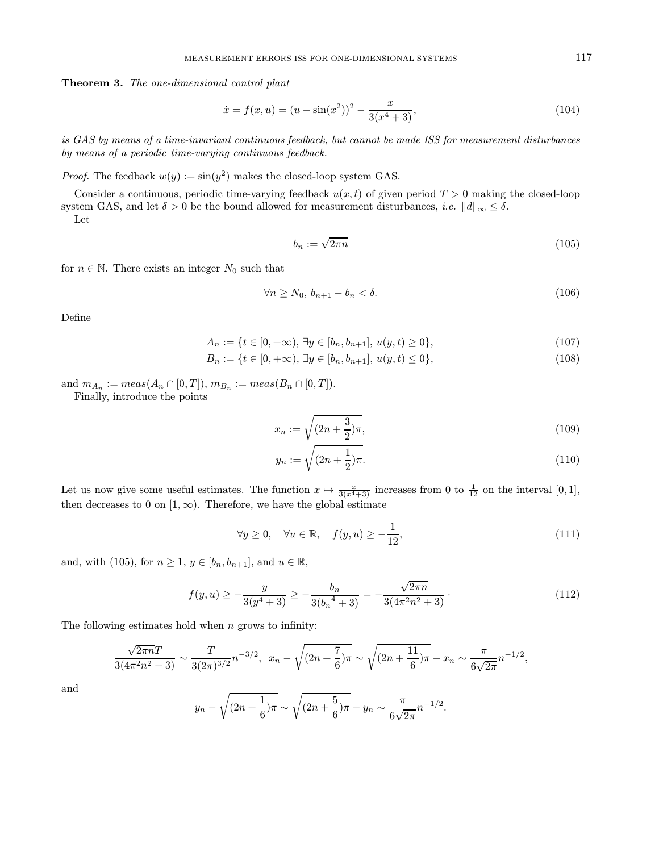Theorem 3. The one-dimensional control plant

$$
\dot{x} = f(x, u) = (u - \sin(x^2))^2 - \frac{x}{3(x^4 + 3)},
$$
\n(104)

is GAS by means of a time-invariant continuous feedback, but cannot be made ISS for measurement disturbances by means of a periodic time-varying continuous feedback.

*Proof.* The feedback  $w(y) := \sin(y^2)$  makes the closed-loop system GAS.

Consider a continuous, periodic time-varying feedback  $u(x, t)$  of given period  $T > 0$  making the closed-loop system GAS, and let  $\delta > 0$  be the bound allowed for measurement disturbances, *i.e.*  $||d||_{\infty} \leq \delta$ .

Let

$$
b_n := \sqrt{2\pi n} \tag{105}
$$

for  $n \in \mathbb{N}$ . There exists an integer  $N_0$  such that

$$
\forall n \ge N_0, \, b_{n+1} - b_n < \delta. \tag{106}
$$

Define

$$
A_n := \{ t \in [0, +\infty), \exists y \in [b_n, b_{n+1}], u(y, t) \ge 0 \},\tag{107}
$$

$$
B_n := \{ t \in [0, +\infty), \exists y \in [b_n, b_{n+1}], u(y, t) \le 0 \},\tag{108}
$$

and  $m_{A_n} := meas(A_n \cap [0,T]), m_{B_n} := meas(B_n \cap [0,T]).$ 

Finally, introduce the points

$$
x_n := \sqrt{(2n + \frac{3}{2})\pi},\tag{109}
$$

$$
y_n := \sqrt{(2n + \frac{1}{2})\pi}.\tag{110}
$$

Let us now give some useful estimates. The function  $x \mapsto \frac{x}{3(x^4+3)}$  increases from 0 to  $\frac{1}{12}$  on the interval [0, 1], then decreases to 0 on  $[1, \infty)$ . Therefore, we have the global estimate

$$
\forall y \ge 0, \quad \forall u \in \mathbb{R}, \quad f(y, u) \ge -\frac{1}{12}, \tag{111}
$$

and, with (105), for  $n \ge 1$ ,  $y \in [b_n, b_{n+1}]$ , and  $u \in \mathbb{R}$ ,

$$
f(y, u) \ge -\frac{y}{3(y^4 + 3)} \ge -\frac{b_n}{3(b_n^4 + 3)} = -\frac{\sqrt{2\pi n}}{3(4\pi^2 n^2 + 3)}.
$$
\n(112)

The following estimates hold when  $n$  grows to infinity:

$$
\frac{\sqrt{2\pi n}T}{3(4\pi^2 n^2+3)} \sim \frac{T}{3(2\pi)^{3/2}} n^{-3/2}, \ \ x_n - \sqrt{(2n+\frac{7}{6})\pi} \sim \sqrt{(2n+\frac{11}{6})\pi} - x_n \sim \frac{\pi}{6\sqrt{2\pi}} n^{-1/2},
$$

and

$$
y_n - \sqrt{(2n + \frac{1}{6})\pi} \sim \sqrt{(2n + \frac{5}{6})\pi} - y_n \sim \frac{\pi}{6\sqrt{2\pi}} n^{-1/2}.
$$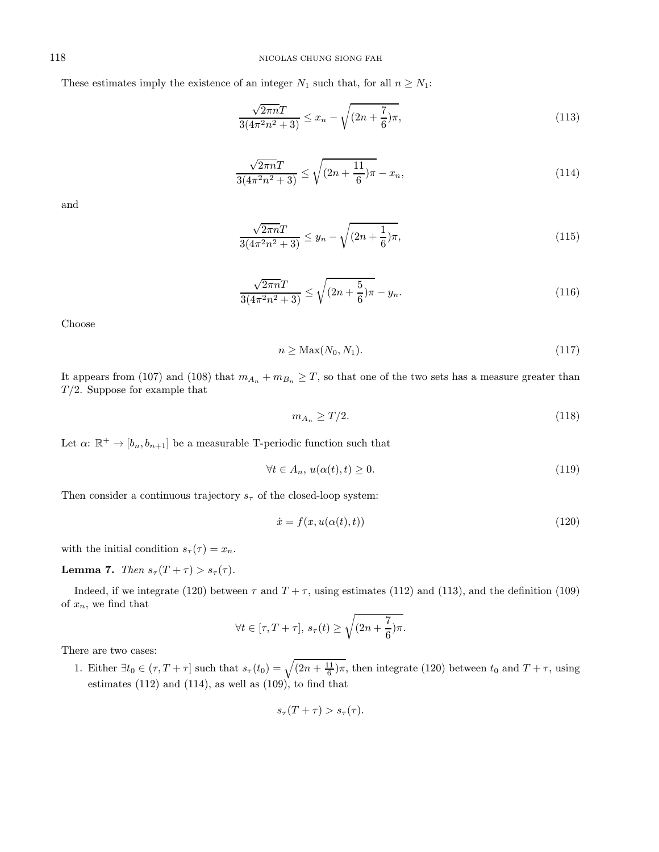#### 118 NICOLAS CHUNG SIONG FAH

These estimates imply the existence of an integer  $N_1$  such that, for all  $n \geq N_1$ :

$$
\frac{\sqrt{2\pi n}T}{3(4\pi^2 n^2 + 3)} \le x_n - \sqrt{(2n + \frac{7}{6})\pi},\tag{113}
$$

$$
\frac{\sqrt{2\pi n}T}{3(4\pi^2 n^2 + 3)} \le \sqrt{(2n + \frac{11}{6})\pi} - x_n,
$$
\n(114)

and

$$
\frac{\sqrt{2\pi n}T}{3(4\pi^2 n^2 + 3)} \le y_n - \sqrt{(2n + \frac{1}{6})\pi},\tag{115}
$$

$$
\frac{\sqrt{2\pi n}T}{3(4\pi^2 n^2 + 3)} \le \sqrt{(2n + \frac{5}{6})\pi} - y_n.
$$
\n(116)

Choose

$$
n \ge \text{Max}(N_0, N_1). \tag{117}
$$

It appears from (107) and (108) that  $m_{A_n} + m_{B_n} \geq T$ , so that one of the two sets has a measure greater than  $T/2$ . Suppose for example that

$$
m_{A_n} \ge T/2. \tag{118}
$$

Let  $\alpha: \mathbb{R}^+ \to [b_n, b_{n+1}]$  be a measurable T-periodic function such that

$$
\forall t \in A_n, u(\alpha(t), t) \ge 0. \tag{119}
$$

Then consider a continuous trajectory  $s_{\tau}$  of the closed-loop system:

$$
\dot{x} = f(x, u(\alpha(t), t))\tag{120}
$$

with the initial condition  $s_{\tau}(\tau) = x_n$ .

**Lemma 7.** Then  $s_\tau(T + \tau) > s_\tau(\tau)$ .

Indeed, if we integrate (120) between  $\tau$  and  $T + \tau$ , using estimates (112) and (113), and the definition (109) of  $x_n$ , we find that

$$
\forall t \in [\tau, T + \tau], \ s_{\tau}(t) \ge \sqrt{(2n + \frac{7}{6})\pi}.
$$

There are two cases:

1. Either  $\exists t_0 \in (\tau, T + \tau]$  such that  $s_\tau(t_0) = \sqrt{(2n + \frac{11}{6})\pi}$ , then integrate (120) between  $t_0$  and  $T + \tau$ , using estimates  $(112)$  and  $(114)$ , as well as  $(109)$ , to find that

$$
s_{\tau}(T+\tau) > s_{\tau}(\tau).
$$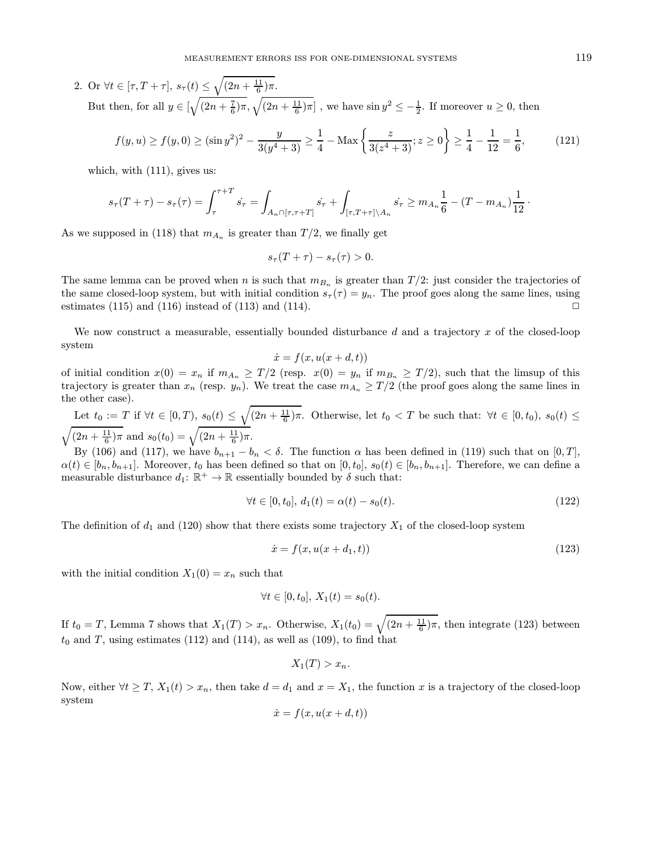2. Or 
$$
\forall t \in [\tau, T + \tau], s_{\tau}(t) \leq \sqrt{(2n + \frac{11}{6})\pi}.
$$
 But then, for all  $y \in [\sqrt{(2n + \frac{7}{6})\pi}, \sqrt{(2n + \frac{11}{6})\pi}]$ , we have  $\sin y^2 \leq -\frac{1}{2}$ . If moreover  $u \geq 0$ , then

$$
f(y, u) \ge f(y, 0) \ge (\sin y^2)^2 - \frac{y}{3(y^4 + 3)} \ge \frac{1}{4} - \text{Max}\left\{\frac{z}{3(z^4 + 3)}; z \ge 0\right\} \ge \frac{1}{4} - \frac{1}{12} = \frac{1}{6},\tag{121}
$$

which, with (111), gives us:

$$
s_{\tau}(T+\tau) - s_{\tau}(\tau) = \int_{\tau}^{\tau+T} \dot{s}_{\tau} = \int_{A_n \cap [\tau,\tau+T]} \dot{s}_{\tau} + \int_{[\tau,T+\tau] \backslash A_n} \dot{s}_{\tau} \geq m_{A_n} \frac{1}{6} - (T-m_{A_n}) \frac{1}{12}.
$$

As we supposed in (118) that  $m_{A_n}$  is greater than  $T/2$ , we finally get

$$
s_{\tau}(T+\tau)-s_{\tau}(\tau)>0.
$$

The same lemma can be proved when n is such that  $m_{B_n}$  is greater than  $T/2$ : just consider the trajectories of the same closed-loop system, but with initial condition  $s_{\tau}(\tau) = y_n$ . The proof goes along the same lines, using estimates  $(115)$  and  $(116)$  instead of  $(113)$  and  $(114)$ .

We now construct a measurable, essentially bounded disturbance  $d$  and a trajectory  $x$  of the closed-loop system

$$
\dot{x} = f(x, u(x+d, t))
$$

of initial condition  $x(0) = x_n$  if  $m_{A_n} \geq T/2$  (resp.  $x(0) = y_n$  if  $m_{B_n} \geq T/2$ ), such that the limsup of this trajectory is greater than  $x_n$  (resp.  $y_n$ ). We treat the case  $m_{A_n} \geq T/2$  (the proof goes along the same lines in the other case).

Let  $t_0 := T$  if  $\forall t \in [0,T)$ ,  $s_0(t) \leq \sqrt{(2n + \frac{11}{6})\pi}$ . Otherwise, let  $t_0 < T$  be such that:  $\forall t \in [0, t_0)$ ,  $s_0(t) \leq$  $\sqrt{(2n + \frac{11}{6})\pi}$  and  $s_0(t_0) = \sqrt{(2n + \frac{11}{6})\pi}$ .

By (106) and (117), we have  $b_{n+1} - b_n < \delta$ . The function  $\alpha$  has been defined in (119) such that on [0, T],  $\alpha(t) \in [b_n, b_{n+1}]$ . Moreover,  $t_0$  has been defined so that on  $[0, t_0]$ ,  $s_0(t) \in [b_n, b_{n+1}]$ . Therefore, we can define a measurable disturbance  $d_1: \mathbb{R}^+ \to \mathbb{R}$  essentially bounded by  $\delta$  such that:

$$
\forall t \in [0, t_0], d_1(t) = \alpha(t) - s_0(t). \tag{122}
$$

The definition of  $d_1$  and (120) show that there exists some trajectory  $X_1$  of the closed-loop system

$$
\dot{x} = f(x, u(x + d_1, t))
$$
\n(123)

with the initial condition  $X_1(0) = x_n$  such that

$$
\forall t \in [0, t_0], \, X_1(t) = s_0(t).
$$

If  $t_0 = T$ , Lemma 7 shows that  $X_1(T) > x_n$ . Otherwise,  $X_1(t_0) = \sqrt{(2n + \frac{11}{6})\pi}$ , then integrate (123) between  $t_0$  and T, using estimates (112) and (114), as well as (109), to find that

$$
X_1(T) > x_n.
$$

Now, either  $\forall t \geq T$ ,  $X_1(t) > x_n$ , then take  $d = d_1$  and  $x = X_1$ , the function x is a trajectory of the closed-loop system

$$
\dot{x} = f(x, u(x+d, t))
$$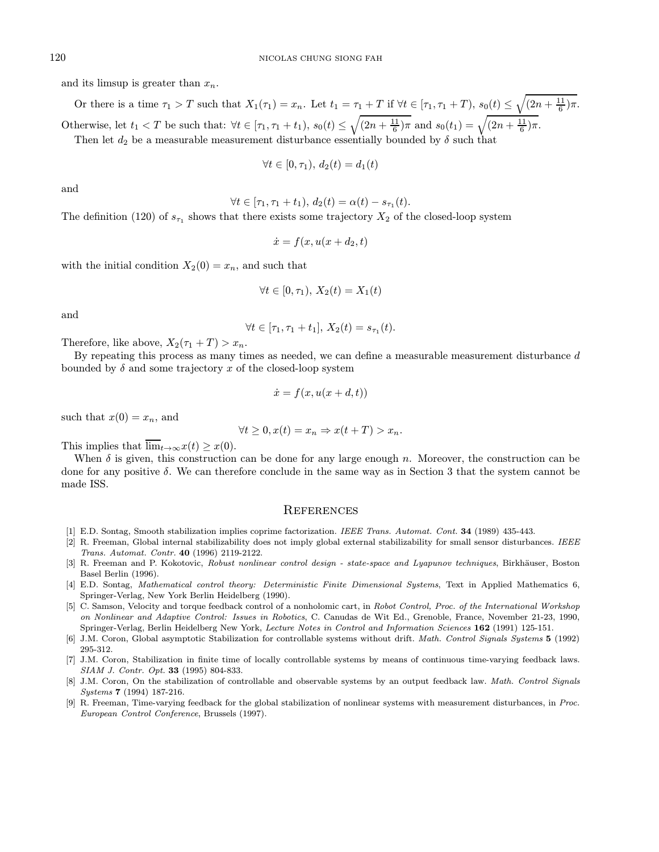and its limsup is greater than  $x_n$ .

Or there is a time  $\tau_1 > T$  such that  $X_1(\tau_1) = x_n$ . Let  $t_1 = \tau_1 + T$  if  $\forall t \in [\tau_1, \tau_1 + T)$ ,  $s_0(t) \leq \sqrt{(2n + \frac{11}{6})\pi}$ . Otherwise, let  $t_1 < T$  be such that:  $\forall t \in [\tau_1, \tau_1 + t_1), s_0(t) \leq \sqrt{(2n + \frac{11}{6})\pi}$  and  $s_0(t_1) = \sqrt{(2n + \frac{11}{6})\pi}$ . Then let  $d_2$  be a measurable measurement disturbance essentially bounded by  $\delta$  such that

$$
\forall t \in [0, \tau_1), d_2(t) = d_1(t)
$$

and

$$
\forall t \in [\tau_1, \tau_1 + t_1), d_2(t) = \alpha(t) - s_{\tau_1}(t).
$$

The definition (120) of  $s_{\tau_1}$  shows that there exists some trajectory  $X_2$  of the closed-loop system

$$
\dot{x} = f(x, u(x + d_2, t)
$$

with the initial condition  $X_2(0) = x_n$ , and such that

$$
\forall t \in [0,\tau_1),\,X_2(t)=X_1(t)
$$

and

$$
\forall t \in [\tau_1, \tau_1 + t_1], X_2(t) = s_{\tau_1}(t).
$$

Therefore, like above,  $X_2(\tau_1 + T) > x_n$ .

By repeating this process as many times as needed, we can define a measurable measurement disturbance d bounded by  $\delta$  and some trajectory x of the closed-loop system

$$
\dot{x} = f(x, u(x+d, t))
$$

such that  $x(0) = x_n$ , and

$$
\forall t \geq 0, x(t) = x_n \Rightarrow x(t+T) > x_n.
$$

This implies that  $\overline{\lim}_{t\to\infty}x(t) \geq x(0)$ .

When  $\delta$  is given, this construction can be done for any large enough n. Moreover, the construction can be done for any positive δ. We can therefore conclude in the same way as in Section 3 that the system cannot be made ISS.

#### **REFERENCES**

- [1] E.D. Sontag, Smooth stabilization implies coprime factorization. IEEE Trans. Automat. Cont. 34 (1989) 435-443.
- [2] R. Freeman, Global internal stabilizability does not imply global external stabilizability for small sensor disturbances. IEEE Trans. Automat. Contr. 40 (1996) 2119-2122.
- [3] R. Freeman and P. Kokotovic, Robust nonlinear control design state-space and Lyapunov techniques, Birkhäuser, Boston Basel Berlin (1996).
- [4] E.D. Sontag, Mathematical control theory: Deterministic Finite Dimensional Systems, Text in Applied Mathematics 6, Springer-Verlag, New York Berlin Heidelberg (1990).
- [5] C. Samson, Velocity and torque feedback control of a nonholomic cart, in Robot Control, Proc. of the International Workshop on Nonlinear and Adaptive Control: Issues in Robotics, C. Canudas de Wit Ed., Grenoble, France, November 21-23, 1990, Springer-Verlag, Berlin Heidelberg New York, Lecture Notes in Control and Information Sciences 162 (1991) 125-151.
- [6] J.M. Coron, Global asymptotic Stabilization for controllable systems without drift. Math. Control Signals Systems 5 (1992) 295-312.
- [7] J.M. Coron, Stabilization in finite time of locally controllable systems by means of continuous time-varying feedback laws. SIAM J. Contr. Opt. 33 (1995) 804-833.
- [8] J.M. Coron, On the stabilization of controllable and observable systems by an output feedback law. Math. Control Signals Systems 7 (1994) 187-216.
- [9] R. Freeman, Time-varying feedback for the global stabilization of nonlinear systems with measurement disturbances, in Proc. European Control Conference, Brussels (1997).